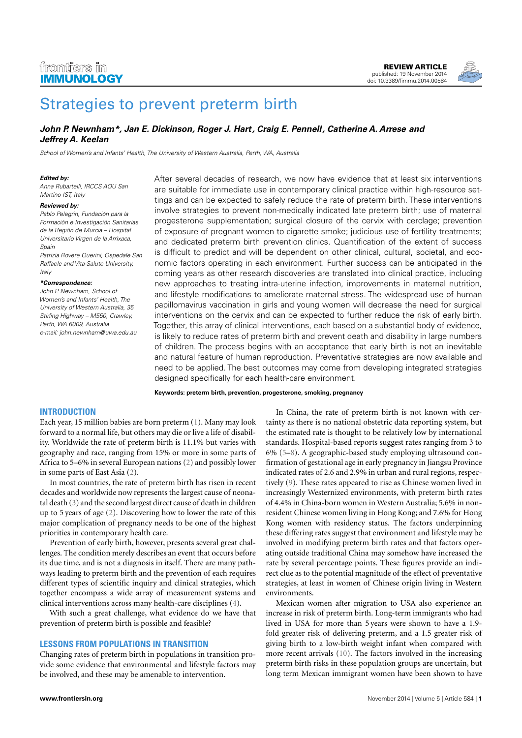

# [Strategies to prevent preterm birth](http://www.frontiersin.org/Journal/10.3389/fimmu.2014.00584/abstract)

# **[John P. Newnham\\*](http://www.frontiersin.org/people/u/153147), Jan E. Dickinson, Roger J. Hart, Craig E. Pennell, [Catherine A. Arrese](http://www.frontiersin.org/people/u/193205) and [Jeffrey A. Keelan](http://www.frontiersin.org/people/u/29279)**

School of Women's and Infants' Health, The University of Western Australia, Perth, WA, Australia

#### **Edited by:**

Anna Rubartelli, IRCCS AOU San Martino IST Italy

#### **Reviewed by:**

Pablo Pelegrin, Fundación para la Formación e Investigación Sanitarias de la Región de Murcia – Hospital Universitario Virgen de la Arrixaca, Spain

Patrizia Rovere Querini, Ospedale San Raffaele and Vita-Salute University, **Italy** 

#### **\*Correspondence:**

John P. Newnham, School of Women's and Infants' Health, The University of Western Australia, 35 Stirling Highway – M550, Crawley, Perth, WA 6009, Australia e-mail: [john.newnham@uwa.edu.au](mailto:john.newnham@uwa.edu.au) After several decades of research, we now have evidence that at least six interventions are suitable for immediate use in contemporary clinical practice within high-resource settings and can be expected to safely reduce the rate of preterm birth. These interventions involve strategies to prevent non-medically indicated late preterm birth; use of maternal progesterone supplementation; surgical closure of the cervix with cerclage; prevention of exposure of pregnant women to cigarette smoke; judicious use of fertility treatments; and dedicated preterm birth prevention clinics. Quantification of the extent of success is difficult to predict and will be dependent on other clinical, cultural, societal, and economic factors operating in each environment. Further success can be anticipated in the coming years as other research discoveries are translated into clinical practice, including new approaches to treating intra-uterine infection, improvements in maternal nutrition, and lifestyle modifications to ameliorate maternal stress. The widespread use of human papillomavirus vaccination in girls and young women will decrease the need for surgical interventions on the cervix and can be expected to further reduce the risk of early birth. Together, this array of clinical interventions, each based on a substantial body of evidence, is likely to reduce rates of preterm birth and prevent death and disability in large numbers of children. The process begins with an acceptance that early birth is not an inevitable and natural feature of human reproduction. Preventative strategies are now available and need to be applied. The best outcomes may come from developing integrated strategies designed specifically for each health-care environment.

**Keywords: preterm birth, prevention, progesterone, smoking, pregnancy**

# **INTRODUCTION**

Each year, 15 million babies are born preterm [\(1\)](#page-7-0). Many may look forward to a normal life, but others may die or live a life of disability. Worldwide the rate of preterm birth is 11.1% but varies with geography and race, ranging from 15% or more in some parts of Africa to 5–6% in several European nations [\(2\)](#page-7-1) and possibly lower in some parts of East Asia [\(2\)](#page-7-1).

In most countries, the rate of preterm birth has risen in recent decades and worldwide now represents the largest cause of neonatal death [\(3\)](#page-7-2) and the second largest direct cause of death in children up to 5 years of age [\(2\)](#page-7-1). Discovering how to lower the rate of this major complication of pregnancy needs to be one of the highest priorities in contemporary health care.

Prevention of early birth, however, presents several great challenges. The condition merely describes an event that occurs before its due time, and is not a diagnosis in itself. There are many pathways leading to preterm birth and the prevention of each requires different types of scientific inquiry and clinical strategies, which together encompass a wide array of measurement systems and clinical interventions across many health-care disciplines [\(4\)](#page-7-3).

With such a great challenge, what evidence do we have that prevention of preterm birth is possible and feasible?

# **LESSONS FROM POPULATIONS IN TRANSITION**

Changing rates of preterm birth in populations in transition provide some evidence that environmental and lifestyle factors may be involved, and these may be amenable to intervention.

In China, the rate of preterm birth is not known with certainty as there is no national obstetric data reporting system, but the estimated rate is thought to be relatively low by international standards. Hospital-based reports suggest rates ranging from 3 to 6% [\(5–](#page-8-0)[8\)](#page-8-1). A geographic-based study employing ultrasound confirmation of gestational age in early pregnancy in Jiangsu Province indicated rates of 2.6 and 2.9% in urban and rural regions, respectively [\(9\)](#page-8-2). These rates appeared to rise as Chinese women lived in increasingly Westernized environments, with preterm birth rates of 4.4% in China-born women in Western Australia; 5.6% in nonresident Chinese women living in Hong Kong; and 7.6% for Hong Kong women with residency status. The factors underpinning these differing rates suggest that environment and lifestyle may be involved in modifying preterm birth rates and that factors operating outside traditional China may somehow have increased the rate by several percentage points. These figures provide an indirect clue as to the potential magnitude of the effect of preventative strategies, at least in women of Chinese origin living in Western environments.

Mexican women after migration to USA also experience an increase in risk of preterm birth. Long-term immigrants who had lived in USA for more than 5 years were shown to have a 1.9 fold greater risk of delivering preterm, and a 1.5 greater risk of giving birth to a low-birth weight infant when compared with more recent arrivals [\(10\)](#page-8-3). The factors involved in the increasing preterm birth risks in these population groups are uncertain, but long term Mexican immigrant women have been shown to have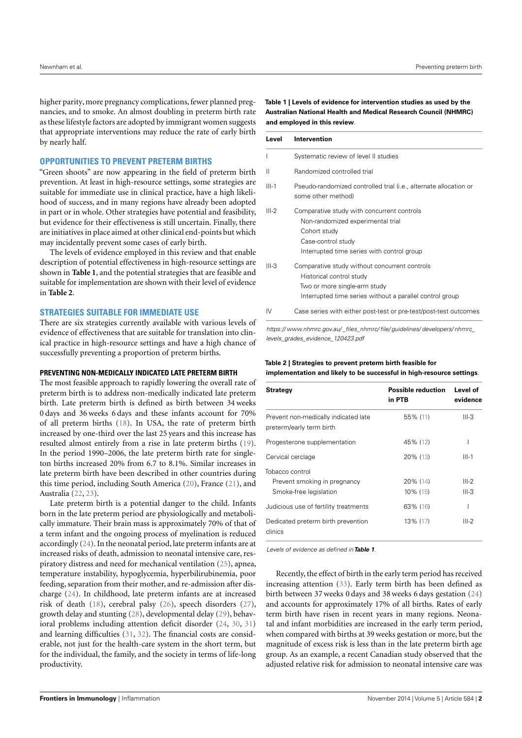higher parity, more pregnancy complications, fewer planned pregnancies, and to smoke. An almost doubling in preterm birth rate as these lifestyle factors are adopted by immigrant women suggests that appropriate interventions may reduce the rate of early birth by nearly half.

# **OPPORTUNITIES TO PREVENT PRETERM BIRTHS**

"Green shoots" are now appearing in the field of preterm birth prevention. At least in high-resource settings, some strategies are suitable for immediate use in clinical practice, have a high likelihood of success, and in many regions have already been adopted in part or in whole. Other strategies have potential and feasibility, but evidence for their effectiveness is still uncertain. Finally, there are initiatives in place aimed at other clinical end-points but which may incidentally prevent some cases of early birth.

The levels of evidence employed in this review and that enable description of potential effectiveness in high-resource settings are shown in **[Table 1](#page-1-0)**, and the potential strategies that are feasible and suitable for implementation are shown with their level of evidence in **[Table 2](#page-1-1)**.

## **STRATEGIES SUITABLE FOR IMMEDIATE USE**

There are six strategies currently available with various levels of evidence of effectiveness that are suitable for translation into clinical practice in high-resource settings and have a high chance of successfully preventing a proportion of preterm births.

# **PREVENTING NON-MEDICALLY INDICATED LATE PRETERM BIRTH**

The most feasible approach to rapidly lowering the overall rate of preterm birth is to address non-medically indicated late preterm birth. Late preterm birth is defined as birth between 34 weeks 0 days and 36 weeks 6 days and these infants account for 70% of all preterm births [\(18\)](#page-8-4). In USA, the rate of preterm birth increased by one-third over the last 25 years and this increase has resulted almost entirely from a rise in late preterm births [\(19\)](#page-8-5). In the period 1990–2006, the late preterm birth rate for singleton births increased 20% from 6.7 to 8.1%. Similar increases in late preterm birth have been described in other countries during this time period, including South America [\(20\)](#page-8-6), France [\(21\)](#page-8-7), and Australia [\(22,](#page-8-8) [23\)](#page-8-9).

Late preterm birth is a potential danger to the child. Infants born in the late preterm period are physiologically and metabolically immature. Their brain mass is approximately 70% of that of a term infant and the ongoing process of myelination is reduced accordingly [\(24\)](#page-8-10). In the neonatal period, late preterm infants are at increased risks of death, admission to neonatal intensive care, respiratory distress and need for mechanical ventilation [\(25\)](#page-8-11), apnea, temperature instability, hypoglycemia, hyperbilirubinemia, poor feeding, separation from their mother, and re-admission after discharge [\(24\)](#page-8-10). In childhood, late preterm infants are at increased risk of death [\(18\)](#page-8-4), cerebral palsy [\(26\)](#page-8-12), speech disorders [\(27\)](#page-8-13), growth delay and stunting [\(28\)](#page-8-14), developmental delay [\(29\)](#page-8-15), behavioral problems including attention deficit disorder [\(24,](#page-8-10) [30,](#page-8-16) [31\)](#page-8-17) and learning difficulties [\(31,](#page-8-17) [32\)](#page-8-18). The financial costs are considerable, not just for the health-care system in the short term, but for the individual, the family, and the society in terms of life-long productivity.

<span id="page-1-0"></span>**Table 1 | Levels of evidence for intervention studies as used by the Australian National Health and Medical Research Council (NHMRC) and employed in this review**.

| Level   | Intervention                                                                                                                                                          |
|---------|-----------------------------------------------------------------------------------------------------------------------------------------------------------------------|
|         | Systematic review of level II studies                                                                                                                                 |
| Ш       | Randomized controlled trial                                                                                                                                           |
| $III-1$ | Pseudo-randomized controlled trial (i.e., alternate allocation or<br>some other method)                                                                               |
| $III-2$ | Comparative study with concurrent controls<br>Non-randomized experimental trial<br>Cohort study<br>Case-control study<br>Interrupted time series with control group   |
| $III-3$ | Comparative study without concurrent controls<br>Historical control study<br>Two or more single-arm study<br>Interrupted time series without a parallel control group |
| IV      | Case series with either post-test or pre-test/post-test outcomes                                                                                                      |

[https:// www.nhmrc.gov.au/ \\_files\\_nhmrc/ file/ guidelines/ developers/ nhmrc\\_](https://www.nhmrc.gov.au/_files_nhmrc/file/guidelines/developers/nhmrc_levels_grades_evidence_120423.pdf) [levels\\_grades\\_evidence\\_120423.pdf](https://www.nhmrc.gov.au/_files_nhmrc/file/guidelines/developers/nhmrc_levels_grades_evidence_120423.pdf)

## <span id="page-1-1"></span>**Table 2 | Strategies to prevent preterm birth feasible for implementation and likely to be successful in high-resource settings**.

| <b>Strategy</b>                                                           | <b>Possible reduction</b><br>in PTB | Level of<br>evidence |
|---------------------------------------------------------------------------|-------------------------------------|----------------------|
| Prevent non-medically indicated late<br>preterm/early term birth          | 55% (11)                            | $III-3$              |
| Progesterone supplementation                                              | 45% (12)                            |                      |
| Cervical cerclage                                                         | 20% (13)                            | $III-1$              |
| Tobacco control<br>Prevent smoking in pregnancy<br>Smoke-free legislation | 20% (14)<br>10% (15)                | $III-2$<br>$III-3$   |
| Judicious use of fertility treatments                                     | 63% (16)                            | I                    |
| Dedicated preterm birth prevention<br>clinics                             | 13% (17)                            | $III-2$              |

Levels of evidence as defined in**[Table 1](#page-1-0)**.

Recently, the effect of birth in the early term period has received increasing attention [\(33\)](#page-8-26). Early term birth has been defined as birth between 37 weeks 0 days and 38 weeks 6 days gestation [\(24\)](#page-8-10) and accounts for approximately 17% of all births. Rates of early term birth have risen in recent years in many regions. Neonatal and infant morbidities are increased in the early term period, when compared with births at 39 weeks gestation or more, but the magnitude of excess risk is less than in the late preterm birth age group. As an example, a recent Canadian study observed that the adjusted relative risk for admission to neonatal intensive care was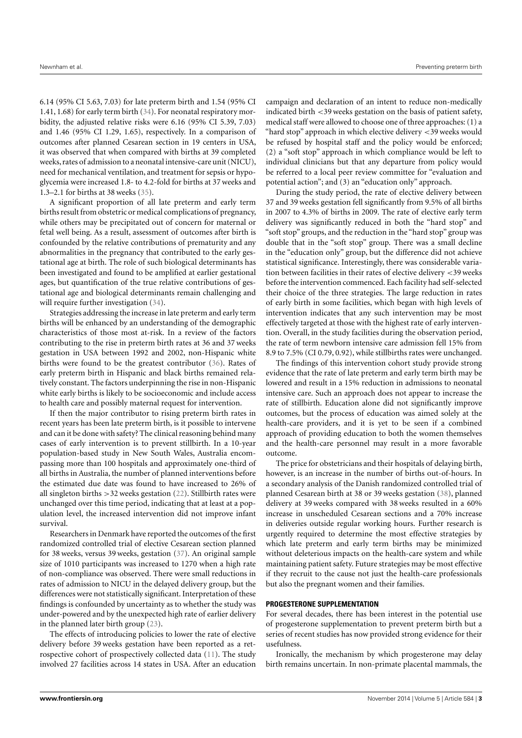6.14 (95% CI 5.63, 7.03) for late preterm birth and 1.54 (95% CI 1.41, 1.68) for early term birth [\(34\)](#page-8-27). For neonatal respiratory morbidity, the adjusted relative risks were 6.16 (95% CI 5.39, 7.03) and 1.46 (95% CI 1.29, 1.65), respectively. In a comparison of outcomes after planned Cesarean section in 19 centers in USA, it was observed that when compared with births at 39 completed weeks, rates of admission to a neonatal intensive-care unit (NICU), need for mechanical ventilation, and treatment for sepsis or hypoglycemia were increased 1.8- to 4.2-fold for births at 37 weeks and 1.3–2.1 for births at 38 weeks [\(35\)](#page-8-28).

A significant proportion of all late preterm and early term births result from obstetric or medical complications of pregnancy, while others may be precipitated out of concern for maternal or fetal well being. As a result, assessment of outcomes after birth is confounded by the relative contributions of prematurity and any abnormalities in the pregnancy that contributed to the early gestational age at birth. The role of such biological determinants has been investigated and found to be amplified at earlier gestational ages, but quantification of the true relative contributions of gestational age and biological determinants remain challenging and will require further investigation [\(34\)](#page-8-27).

Strategies addressing the increase in late preterm and early term births will be enhanced by an understanding of the demographic characteristics of those most at-risk. In a review of the factors contributing to the rise in preterm birth rates at 36 and 37 weeks gestation in USA between 1992 and 2002, non-Hispanic white births were found to be the greatest contributor [\(36\)](#page-8-29). Rates of early preterm birth in Hispanic and black births remained relatively constant. The factors underpinning the rise in non-Hispanic white early births is likely to be socioeconomic and include access to health care and possibly maternal request for intervention.

If then the major contributor to rising preterm birth rates in recent years has been late preterm birth, is it possible to intervene and can it be done with safety? The clinical reasoning behind many cases of early intervention is to prevent stillbirth. In a 10-year population-based study in New South Wales, Australia encompassing more than 100 hospitals and approximately one-third of all births in Australia, the number of planned interventions before the estimated due date was found to have increased to 26% of all singleton births >32 weeks gestation [\(22\)](#page-8-8). Stillbirth rates were unchanged over this time period, indicating that at least at a population level, the increased intervention did not improve infant survival.

Researchers in Denmark have reported the outcomes of the first randomized controlled trial of elective Cesarean section planned for 38 weeks, versus 39 weeks, gestation [\(37\)](#page-8-30). An original sample size of 1010 participants was increased to 1270 when a high rate of non-compliance was observed. There were small reductions in rates of admission to NICU in the delayed delivery group, but the differences were not statistically significant. Interpretation of these findings is confounded by uncertainty as to whether the study was under-powered and by the unexpected high rate of earlier delivery in the planned later birth group [\(23\)](#page-8-9).

The effects of introducing policies to lower the rate of elective delivery before 39 weeks gestation have been reported as a retrospective cohort of prospectively collected data [\(11\)](#page-8-19). The study involved 27 facilities across 14 states in USA. After an education

campaign and declaration of an intent to reduce non-medically indicated birth <39 weeks gestation on the basis of patient safety, medical staff were allowed to choose one of three approaches: (1) a "hard stop" approach in which elective delivery <39 weeks would be refused by hospital staff and the policy would be enforced; (2) a "soft stop" approach in which compliance would be left to individual clinicians but that any departure from policy would be referred to a local peer review committee for "evaluation and potential action"; and (3) an "education only" approach.

During the study period, the rate of elective delivery between 37 and 39 weeks gestation fell significantly from 9.5% of all births in 2007 to 4.3% of births in 2009. The rate of elective early term delivery was significantly reduced in both the "hard stop" and "soft stop" groups, and the reduction in the "hard stop" group was double that in the "soft stop" group. There was a small decline in the "education only" group, but the difference did not achieve statistical significance. Interestingly, there was considerable variation between facilities in their rates of elective delivery <39 weeks before the intervention commenced. Each facility had self-selected their choice of the three strategies. The large reduction in rates of early birth in some facilities, which began with high levels of intervention indicates that any such intervention may be most effectively targeted at those with the highest rate of early intervention. Overall, in the study facilities during the observation period, the rate of term newborn intensive care admission fell 15% from 8.9 to 7.5% (CI 0.79, 0.92), while stillbirths rates were unchanged.

The findings of this intervention cohort study provide strong evidence that the rate of late preterm and early term birth may be lowered and result in a 15% reduction in admissions to neonatal intensive care. Such an approach does not appear to increase the rate of stillbirth. Education alone did not significantly improve outcomes, but the process of education was aimed solely at the health-care providers, and it is yet to be seen if a combined approach of providing education to both the women themselves and the health-care personnel may result in a more favorable outcome.

The price for obstetricians and their hospitals of delaying birth, however, is an increase in the number of births out-of-hours. In a secondary analysis of the Danish randomized controlled trial of planned Cesarean birth at 38 or 39 weeks gestation [\(38\)](#page-8-31), planned delivery at 39 weeks compared with 38 weeks resulted in a 60% increase in unscheduled Cesarean sections and a 70% increase in deliveries outside regular working hours. Further research is urgently required to determine the most effective strategies by which late preterm and early term births may be minimized without deleterious impacts on the health-care system and while maintaining patient safety. Future strategies may be most effective if they recruit to the cause not just the health-care professionals but also the pregnant women and their families.

# **PROGESTERONE SUPPLEMENTATION**

For several decades, there has been interest in the potential use of progesterone supplementation to prevent preterm birth but a series of recent studies has now provided strong evidence for their usefulness.

Ironically, the mechanism by which progesterone may delay birth remains uncertain. In non-primate placental mammals, the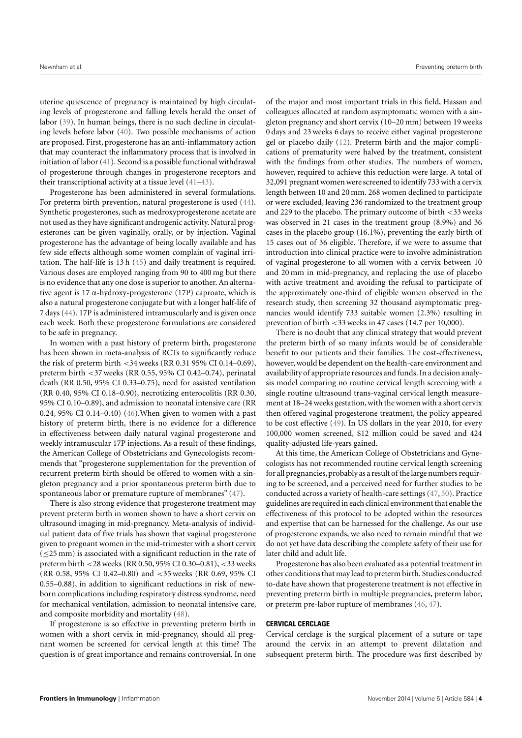uterine quiescence of pregnancy is maintained by high circulating levels of progesterone and falling levels herald the onset of labor [\(39\)](#page-8-32). In human beings, there is no such decline in circulating levels before labor [\(40\)](#page-8-33). Two possible mechanisms of action are proposed. First, progesterone has an anti-inflammatory action that may counteract the inflammatory process that is involved in initiation of labor [\(41\)](#page-8-34). Second is a possible functional withdrawal of progesterone through changes in progesterone receptors and their transcriptional activity at a tissue level [\(41–](#page-8-34)[43\)](#page-8-35).

Progesterone has been administered in several formulations. For preterm birth prevention, natural progesterone is used [\(44\)](#page-8-36). Synthetic progesterones, such as medroxyprogesterone acetate are not used as they have significant androgenic activity. Natural progesterones can be given vaginally, orally, or by injection. Vaginal progesterone has the advantage of being locally available and has few side effects although some women complain of vaginal irritation. The half-life is 13 h [\(45\)](#page-8-37) and daily treatment is required. Various doses are employed ranging from 90 to 400 mg but there is no evidence that any one dose is superior to another. An alternative agent is 17  $\alpha$ -hydroxy-progesterone (17P) caproate, which is also a natural progesterone conjugate but with a longer half-life of 7 days [\(44\)](#page-8-36). 17P is administered intramuscularly and is given once each week. Both these progesterone formulations are considered to be safe in pregnancy.

In women with a past history of preterm birth, progesterone has been shown in meta-analysis of RCTs to significantly reduce the risk of preterm birth <34 weeks (RR 0.31 95% CI 0.14–0.69), preterm birth <37 weeks (RR 0.55, 95% CI 0.42–0.74), perinatal death (RR 0.50, 95% CI 0.33–0.75), need for assisted ventilation (RR 0.40, 95% CI 0.18–0.90), necrotizing enterocolitis (RR 0.30, 95% CI 0.10–0.89), and admission to neonatal intensive care (RR 0.24, 95% CI 0.14–0.40) [\(46\)](#page-8-38).When given to women with a past history of preterm birth, there is no evidence for a difference in effectiveness between daily natural vaginal progesterone and weekly intramuscular 17P injections. As a result of these findings, the American College of Obstetricians and Gynecologists recommends that "progesterone supplementation for the prevention of recurrent preterm birth should be offered to women with a singleton pregnancy and a prior spontaneous preterm birth due to spontaneous labor or premature rupture of membranes" [\(47\)](#page-9-0).

There is also strong evidence that progesterone treatment may prevent preterm birth in women shown to have a short cervix on ultrasound imaging in mid-pregnancy. Meta-analysis of individual patient data of five trials has shown that vaginal progesterone given to pregnant women in the mid-trimester with a short cervix (≤25 mm) is associated with a significant reduction in the rate of preterm birth <28 weeks (RR 0.50, 95% CI 0.30–0.81), <33 weeks (RR 0.58, 95% CI 0.42–0.80) and <35 weeks (RR 0.69, 95% CI 0.55–0.88), in addition to significant reductions in risk of newborn complications including respiratory distress syndrome, need for mechanical ventilation, admission to neonatal intensive care, and composite morbidity and mortality [\(48\)](#page-9-1).

If progesterone is so effective in preventing preterm birth in women with a short cervix in mid-pregnancy, should all pregnant women be screened for cervical length at this time? The question is of great importance and remains controversial. In one

of the major and most important trials in this field, Hassan and colleagues allocated at random asymptomatic women with a singleton pregnancy and short cervix (10–20 mm) between 19 weeks 0 days and 23 weeks 6 days to receive either vaginal progesterone gel or placebo daily [\(12\)](#page-8-20). Preterm birth and the major complications of prematurity were halved by the treatment, consistent with the findings from other studies. The numbers of women, however, required to achieve this reduction were large. A total of 32,091 pregnant women were screened to identify 733 with a cervix length between 10 and 20 mm. 268 women declined to participate or were excluded, leaving 236 randomized to the treatment group and 229 to the placebo. The primary outcome of birth <33 weeks was observed in 21 cases in the treatment group (8.9%) and 36 cases in the placebo group (16.1%), preventing the early birth of 15 cases out of 36 eligible. Therefore, if we were to assume that introduction into clinical practice were to involve administration of vaginal progesterone to all women with a cervix between 10 and 20 mm in mid-pregnancy, and replacing the use of placebo with active treatment and avoiding the refusal to participate of the approximately one-third of eligible women observed in the research study, then screening 32 thousand asymptomatic pregnancies would identify 733 suitable women (2.3%) resulting in prevention of birth <33 weeks in 47 cases (14.7 per 10,000).

There is no doubt that any clinical strategy that would prevent the preterm birth of so many infants would be of considerable benefit to our patients and their families. The cost-effectiveness, however, would be dependent on the health-care environment and availability of appropriate resources and funds. In a decision analysis model comparing no routine cervical length screening with a single routine ultrasound trans-vaginal cervical length measurement at 18–24 weeks gestation, with the women with a short cervix then offered vaginal progesterone treatment, the policy appeared to be cost effective [\(49\)](#page-9-2). In US dollars in the year 2010, for every 100,000 women screened, \$12 million could be saved and 424 quality-adjusted life-years gained.

At this time, the American College of Obstetricians and Gynecologists has not recommended routine cervical length screening for all pregnancies, probably as a result of the large numbers requiring to be screened, and a perceived need for further studies to be conducted across a variety of health-care settings [\(47,](#page-9-0) [50\)](#page-9-3). Practice guidelines are required in each clinical environment that enable the effectiveness of this protocol to be adopted within the resources and expertise that can be harnessed for the challenge. As our use of progesterone expands, we also need to remain mindful that we do not yet have data describing the complete safety of their use for later child and adult life.

Progesterone has also been evaluated as a potential treatment in other conditions that may lead to preterm birth. Studies conducted to-date have shown that progesterone treatment is not effective in preventing preterm birth in multiple pregnancies, preterm labor, or preterm pre-labor rupture of membranes [\(46,](#page-8-38) [47\)](#page-9-0).

# **CERVICAL CERCLAGE**

Cervical cerclage is the surgical placement of a suture or tape around the cervix in an attempt to prevent dilatation and subsequent preterm birth. The procedure was first described by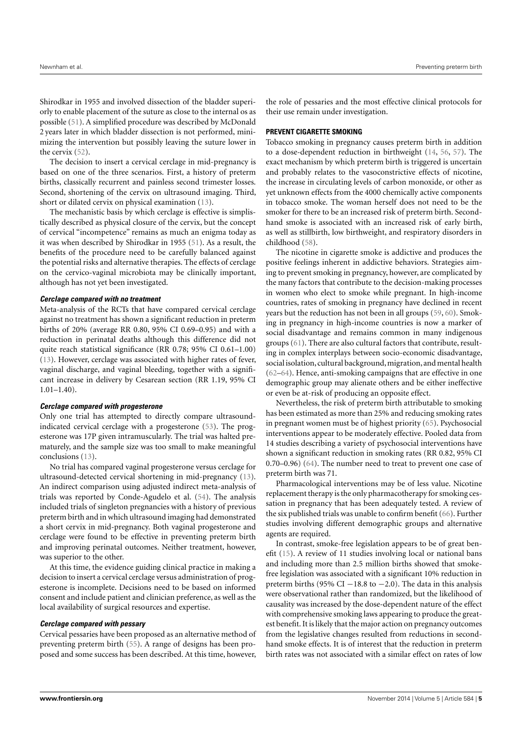Shirodkar in 1955 and involved dissection of the bladder superiorly to enable placement of the suture as close to the internal os as possible [\(51\)](#page-9-4). A simplified procedure was described by McDonald 2 years later in which bladder dissection is not performed, minimizing the intervention but possibly leaving the suture lower in the cervix [\(52\)](#page-9-5).

The decision to insert a cervical cerclage in mid-pregnancy is based on one of the three scenarios. First, a history of preterm births, classically recurrent and painless second trimester losses. Second, shortening of the cervix on ultrasound imaging. Third, short or dilated cervix on physical examination [\(13\)](#page-8-21).

The mechanistic basis by which cerclage is effective is simplistically described as physical closure of the cervix, but the concept of cervical "incompetence" remains as much an enigma today as it was when described by Shirodkar in 1955 [\(51\)](#page-9-4). As a result, the benefits of the procedure need to be carefully balanced against the potential risks and alternative therapies. The effects of cerclage on the cervico-vaginal microbiota may be clinically important, although has not yet been investigated.

## **Cerclage compared with no treatment**

Meta-analysis of the RCTs that have compared cervical cerclage against no treatment has shown a significant reduction in preterm births of 20% (average RR 0.80, 95% CI 0.69–0.95) and with a reduction in perinatal deaths although this difference did not quite reach statistical significance (RR 0.78; 95% CI 0.61–1.00) [\(13\)](#page-8-21). However, cerclage was associated with higher rates of fever, vaginal discharge, and vaginal bleeding, together with a significant increase in delivery by Cesarean section (RR 1.19, 95% CI 1.01–1.40).

# **Cerclage compared with progesterone**

Only one trial has attempted to directly compare ultrasoundindicated cervical cerclage with a progesterone [\(53\)](#page-9-6). The progesterone was 17P given intramuscularly. The trial was halted prematurely, and the sample size was too small to make meaningful conclusions [\(13\)](#page-8-21).

No trial has compared vaginal progesterone versus cerclage for ultrasound-detected cervical shortening in mid-pregnancy [\(13\)](#page-8-21). An indirect comparison using adjusted indirect meta-analysis of trials was reported by Conde-Agudelo et al. [\(54\)](#page-9-7). The analysis included trials of singleton pregnancies with a history of previous preterm birth and in which ultrasound imaging had demonstrated a short cervix in mid-pregnancy. Both vaginal progesterone and cerclage were found to be effective in preventing preterm birth and improving perinatal outcomes. Neither treatment, however, was superior to the other.

At this time, the evidence guiding clinical practice in making a decision to insert a cervical cerclage versus administration of progesterone is incomplete. Decisions need to be based on informed consent and include patient and clinician preference, as well as the local availability of surgical resources and expertise.

# **Cerclage compared with pessary**

Cervical pessaries have been proposed as an alternative method of preventing preterm birth [\(55\)](#page-9-8). A range of designs has been proposed and some success has been described. At this time, however, the role of pessaries and the most effective clinical protocols for their use remain under investigation.

# **PREVENT CIGARETTE SMOKING**

Tobacco smoking in pregnancy causes preterm birth in addition to a dose-dependent reduction in birthweight [\(14,](#page-8-22) [56,](#page-9-9) [57\)](#page-9-10). The exact mechanism by which preterm birth is triggered is uncertain and probably relates to the vasoconstrictive effects of nicotine, the increase in circulating levels of carbon monoxide, or other as yet unknown effects from the 4000 chemically active components in tobacco smoke. The woman herself does not need to be the smoker for there to be an increased risk of preterm birth. Secondhand smoke is associated with an increased risk of early birth, as well as stillbirth, low birthweight, and respiratory disorders in childhood [\(58\)](#page-9-11).

The nicotine in cigarette smoke is addictive and produces the positive feelings inherent in addictive behaviors. Strategies aiming to prevent smoking in pregnancy, however, are complicated by the many factors that contribute to the decision-making processes in women who elect to smoke while pregnant. In high-income countries, rates of smoking in pregnancy have declined in recent years but the reduction has not been in all groups [\(59,](#page-9-12) [60\)](#page-9-13). Smoking in pregnancy in high-income countries is now a marker of social disadvantage and remains common in many indigenous groups [\(61\)](#page-9-14). There are also cultural factors that contribute, resulting in complex interplays between socio-economic disadvantage, social isolation, cultural background, migration, and mental health [\(62–](#page-9-15)[64\)](#page-9-16). Hence, anti-smoking campaigns that are effective in one demographic group may alienate others and be either ineffective or even be at-risk of producing an opposite effect.

Nevertheless, the risk of preterm birth attributable to smoking has been estimated as more than 25% and reducing smoking rates in pregnant women must be of highest priority [\(65\)](#page-9-17). Psychosocial interventions appear to be moderately effective. Pooled data from 14 studies describing a variety of psychosocial interventions have shown a significant reduction in smoking rates (RR 0.82, 95% CI 0.70–0.96) [\(64\)](#page-9-16). The number need to treat to prevent one case of preterm birth was 71.

Pharmacological interventions may be of less value. Nicotine replacement therapy is the only pharmacotherapy for smoking cessation in pregnancy that has been adequately tested. A review of the six published trials was unable to confirm benefit [\(66\)](#page-9-18). Further studies involving different demographic groups and alternative agents are required.

In contrast, smoke-free legislation appears to be of great benefit [\(15\)](#page-8-23). A review of 11 studies involving local or national bans and including more than 2.5 million births showed that smokefree legislation was associated with a significant 10% reduction in preterm births (95% CI  $-18.8$  to  $-2.0$ ). The data in this analysis were observational rather than randomized, but the likelihood of causality was increased by the dose-dependent nature of the effect with comprehensive smoking laws appearing to produce the greatest benefit. It is likely that the major action on pregnancy outcomes from the legislative changes resulted from reductions in secondhand smoke effects. It is of interest that the reduction in preterm birth rates was not associated with a similar effect on rates of low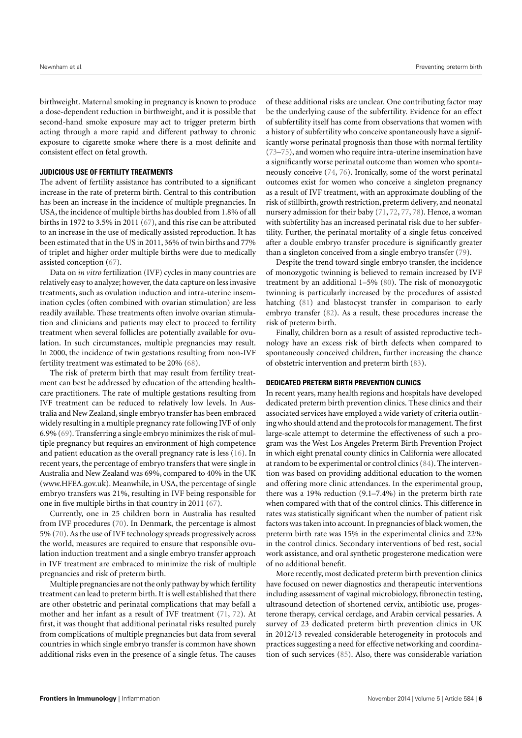birthweight. Maternal smoking in pregnancy is known to produce a dose-dependent reduction in birthweight, and it is possible that second-hand smoke exposure may act to trigger preterm birth acting through a more rapid and different pathway to chronic exposure to cigarette smoke where there is a most definite and consistent effect on fetal growth.

## **JUDICIOUS USE OF FERTILITY TREATMENTS**

The advent of fertility assistance has contributed to a significant increase in the rate of preterm birth. Central to this contribution has been an increase in the incidence of multiple pregnancies. In USA, the incidence of multiple births has doubled from 1.8% of all births in 1972 to 3.5% in 2011 [\(67\)](#page-9-19), and this rise can be attributed to an increase in the use of medically assisted reproduction. It has been estimated that in the US in 2011, 36% of twin births and 77% of triplet and higher order multiple births were due to medically assisted conception [\(67\)](#page-9-19).

Data on *in vitro* fertilization (IVF) cycles in many countries are relatively easy to analyze; however, the data capture on less invasive treatments, such as ovulation induction and intra-uterine insemination cycles (often combined with ovarian stimulation) are less readily available. These treatments often involve ovarian stimulation and clinicians and patients may elect to proceed to fertility treatment when several follicles are potentially available for ovulation. In such circumstances, multiple pregnancies may result. In 2000, the incidence of twin gestations resulting from non-IVF fertility treatment was estimated to be 20% [\(68\)](#page-9-20).

The risk of preterm birth that may result from fertility treatment can best be addressed by education of the attending healthcare practitioners. The rate of multiple gestations resulting from IVF treatment can be reduced to relatively low levels. In Australia and New Zealand, single embryo transfer has been embraced widely resulting in a multiple pregnancy rate following IVF of only 6.9% [\(69\)](#page-9-21). Transferring a single embryo minimizes the risk of multiple pregnancy but requires an environment of high competence and patient education as the overall pregnancy rate is less [\(16\)](#page-8-24). In recent years, the percentage of embryo transfers that were single in Australia and New Zealand was 69%, compared to 40% in the UK [\(www.HFEA.gov.uk\)](http://www.HFEA.gov.uk). Meanwhile, in USA, the percentage of single embryo transfers was 21%, resulting in IVF being responsible for one in five multiple births in that country in 2011 [\(67\)](#page-9-19).

Currently, one in 25 children born in Australia has resulted from IVF procedures [\(70\)](#page-9-22). In Denmark, the percentage is almost 5% [\(70\)](#page-9-22). As the use of IVF technology spreads progressively across the world, measures are required to ensure that responsible ovulation induction treatment and a single embryo transfer approach in IVF treatment are embraced to minimize the risk of multiple pregnancies and risk of preterm birth.

Multiple pregnancies are not the only pathway by which fertility treatment can lead to preterm birth. It is well established that there are other obstetric and perinatal complications that may befall a mother and her infant as a result of IVF treatment [\(71,](#page-9-23) [72\)](#page-9-24). At first, it was thought that additional perinatal risks resulted purely from complications of multiple pregnancies but data from several countries in which single embryo transfer is common have shown additional risks even in the presence of a single fetus. The causes

of these additional risks are unclear. One contributing factor may be the underlying cause of the subfertility. Evidence for an effect of subfertility itself has come from observations that women with a history of subfertility who conceive spontaneously have a significantly worse perinatal prognosis than those with normal fertility [\(73–](#page-9-25)[75\)](#page-9-26), and women who require intra-uterine insemination have a significantly worse perinatal outcome than women who spontaneously conceive [\(74,](#page-9-27) [76\)](#page-9-28). Ironically, some of the worst perinatal outcomes exist for women who conceive a singleton pregnancy as a result of IVF treatment, with an approximate doubling of the risk of stillbirth, growth restriction, preterm delivery, and neonatal nursery admission for their baby [\(71,](#page-9-23) [72,](#page-9-24) [77,](#page-9-29) [78\)](#page-9-30). Hence, a woman with subfertility has an increased perinatal risk due to her subfertility. Further, the perinatal mortality of a single fetus conceived after a double embryo transfer procedure is significantly greater than a singleton conceived from a single embryo transfer [\(79\)](#page-9-31).

Despite the trend toward single embryo transfer, the incidence of monozygotic twinning is believed to remain increased by IVF treatment by an additional 1–5% [\(80\)](#page-9-32). The risk of monozygotic twinning is particularly increased by the procedures of assisted hatching [\(81\)](#page-9-33) and blastocyst transfer in comparison to early embryo transfer [\(82\)](#page-9-34). As a result, these procedures increase the risk of preterm birth.

Finally, children born as a result of assisted reproductive technology have an excess risk of birth defects when compared to spontaneously conceived children, further increasing the chance of obstetric intervention and preterm birth [\(83\)](#page-9-35).

## **DEDICATED PRETERM BIRTH PREVENTION CLINICS**

In recent years, many health regions and hospitals have developed dedicated preterm birth prevention clinics. These clinics and their associated services have employed a wide variety of criteria outlining who should attend and the protocols for management. The first large-scale attempt to determine the effectiveness of such a program was the West Los Angeles Preterm Birth Prevention Project in which eight prenatal county clinics in California were allocated at random to be experimental or control clinics [\(84\)](#page-9-36). The intervention was based on providing additional education to the women and offering more clinic attendances. In the experimental group, there was a 19% reduction (9.1–7.4%) in the preterm birth rate when compared with that of the control clinics. This difference in rates was statistically significant when the number of patient risk factors was taken into account. In pregnancies of black women, the preterm birth rate was 15% in the experimental clinics and 22% in the control clinics. Secondary interventions of bed rest, social work assistance, and oral synthetic progesterone medication were of no additional benefit.

More recently, most dedicated preterm birth prevention clinics have focused on newer diagnostics and therapeutic interventions including assessment of vaginal microbiology, fibronectin testing, ultrasound detection of shortened cervix, antibiotic use, progesterone therapy, cervical cerclage, and Arabin cervical pessaries. A survey of 23 dedicated preterm birth prevention clinics in UK in 2012/13 revealed considerable heterogeneity in protocols and practices suggesting a need for effective networking and coordination of such services [\(85\)](#page-9-37). Also, there was considerable variation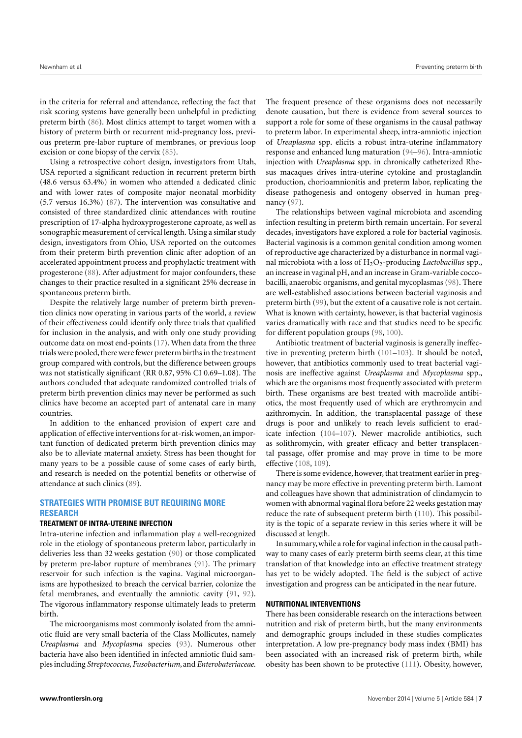in the criteria for referral and attendance, reflecting the fact that risk scoring systems have generally been unhelpful in predicting preterm birth [\(86\)](#page-9-38). Most clinics attempt to target women with a history of preterm birth or recurrent mid-pregnancy loss, previous preterm pre-labor rupture of membranes, or previous loop excision or cone biopsy of the cervix [\(85\)](#page-9-37).

Using a retrospective cohort design, investigators from Utah, USA reported a significant reduction in recurrent preterm birth (48.6 versus 63.4%) in women who attended a dedicated clinic and with lower rates of composite major neonatal morbidity (5.7 versus 16.3%) [\(87\)](#page-9-39). The intervention was consultative and consisted of three standardized clinic attendances with routine prescription of 17-alpha hydroxyprogesterone caproate, as well as sonographic measurement of cervical length. Using a similar study design, investigators from Ohio, USA reported on the outcomes from their preterm birth prevention clinic after adoption of an accelerated appointment process and prophylactic treatment with progesterone [\(88\)](#page-10-0). After adjustment for major confounders, these changes to their practice resulted in a significant 25% decrease in spontaneous preterm birth.

Despite the relatively large number of preterm birth prevention clinics now operating in various parts of the world, a review of their effectiveness could identify only three trials that qualified for inclusion in the analysis, and with only one study providing outcome data on most end-points [\(17\)](#page-8-25). When data from the three trials were pooled, there were fewer preterm births in the treatment group compared with controls, but the difference between groups was not statistically significant (RR 0.87, 95% CI 0.69–1.08). The authors concluded that adequate randomized controlled trials of preterm birth prevention clinics may never be performed as such clinics have become an accepted part of antenatal care in many countries.

In addition to the enhanced provision of expert care and application of effective interventions for at-risk women, an important function of dedicated preterm birth prevention clinics may also be to alleviate maternal anxiety. Stress has been thought for many years to be a possible cause of some cases of early birth, and research is needed on the potential benefits or otherwise of attendance at such clinics [\(89\)](#page-10-1).

# **STRATEGIES WITH PROMISE BUT REQUIRING MORE RESEARCH**

## **TREATMENT OF INTRA-UTERINE INFECTION**

Intra-uterine infection and inflammation play a well-recognized role in the etiology of spontaneous preterm labor, particularly in deliveries less than 32 weeks gestation [\(90\)](#page-10-2) or those complicated by preterm pre-labor rupture of membranes [\(91\)](#page-10-3). The primary reservoir for such infection is the vagina. Vaginal microorganisms are hypothesized to breach the cervical barrier, colonize the fetal membranes, and eventually the amniotic cavity [\(91,](#page-10-3) [92\)](#page-10-4). The vigorous inflammatory response ultimately leads to preterm birth.

The microorganisms most commonly isolated from the amniotic fluid are very small bacteria of the Class Mollicutes, namely *Ureaplasma* and *Mycoplasma* species [\(93\)](#page-10-5). Numerous other bacteria have also been identified in infected amniotic fluid samples including *Streptococcus*,*Fusobacterium*, and *Enterobateriaceae.*

The frequent presence of these organisms does not necessarily denote causation, but there is evidence from several sources to support a role for some of these organisms in the causal pathway to preterm labor. In experimental sheep, intra-amniotic injection of *Ureaplasma* spp. elicits a robust intra-uterine inflammatory response and enhanced lung maturation [\(94–](#page-10-6)[96\)](#page-10-7). Intra-amniotic injection with *Ureaplasma* spp. in chronically catheterized Rhesus macaques drives intra-uterine cytokine and prostaglandin production, chorioamnionitis and preterm labor, replicating the disease pathogenesis and ontogeny observed in human pregnancy [\(97\)](#page-10-8).

The relationships between vaginal microbiota and ascending infection resulting in preterm birth remain uncertain. For several decades, investigators have explored a role for bacterial vaginosis. Bacterial vaginosis is a common genital condition among women of reproductive age characterized by a disturbance in normal vaginal microbiota with a loss of H2O2-producing *Lactobacillus* spp., an increase in vaginal pH, and an increase in Gram-variable coccobacilli, anaerobic organisms, and genital mycoplasmas [\(98\)](#page-10-9). There are well-established associations between bacterial vaginosis and preterm birth [\(99\)](#page-10-10), but the extent of a causative role is not certain. What is known with certainty, however, is that bacterial vaginosis varies dramatically with race and that studies need to be specific for different population groups [\(98,](#page-10-9) [100\)](#page-10-11).

Antibiotic treatment of bacterial vaginosis is generally ineffective in preventing preterm birth [\(101–](#page-10-12)[103\)](#page-10-13). It should be noted, however, that antibiotics commonly used to treat bacterial vaginosis are ineffective against *Ureaplasma* and *Mycoplasma* spp., which are the organisms most frequently associated with preterm birth. These organisms are best treated with macrolide antibiotics, the most frequently used of which are erythromycin and azithromycin. In addition, the transplacental passage of these drugs is poor and unlikely to reach levels sufficient to eradicate infection [\(104–](#page-10-14)[107\)](#page-10-15). Newer macrolide antibiotics, such as solithromycin, with greater efficacy and better transplacental passage, offer promise and may prove in time to be more effective [\(108,](#page-10-16) [109\)](#page-10-17).

There is some evidence, however, that treatment earlier in pregnancy may be more effective in preventing preterm birth. Lamont and colleagues have shown that administration of clindamycin to women with abnormal vaginal flora before 22 weeks gestation may reduce the rate of subsequent preterm birth [\(110\)](#page-10-18). This possibility is the topic of a separate review in this series where it will be discussed at length.

In summary,while a role for vaginal infection in the causal pathway to many cases of early preterm birth seems clear, at this time translation of that knowledge into an effective treatment strategy has yet to be widely adopted. The field is the subject of active investigation and progress can be anticipated in the near future.

## **NUTRITIONAL INTERVENTIONS**

There has been considerable research on the interactions between nutrition and risk of preterm birth, but the many environments and demographic groups included in these studies complicates interpretation. A low pre-pregnancy body mass index (BMI) has been associated with an increased risk of preterm birth, while obesity has been shown to be protective [\(111\)](#page-10-19). Obesity, however,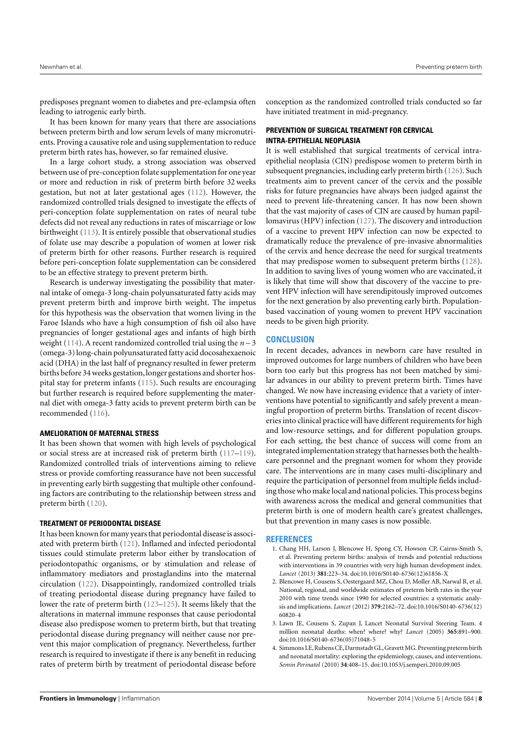predisposes pregnant women to diabetes and pre-eclampsia often leading to iatrogenic early birth.

It has been known for many years that there are associations between preterm birth and low serum levels of many micronutrients. Proving a causative role and using supplementation to reduce preterm birth rates has, however, so far remained elusive.

In a large cohort study, a strong association was observed between use of pre-conception folate supplementation for one year or more and reduction in risk of preterm birth before 32 weeks gestation, but not at later gestational ages [\(112\)](#page-10-20). However, the randomized controlled trials designed to investigate the effects of peri-conception folate supplementation on rates of neural tube defects did not reveal any reductions in rates of miscarriage or low birthweight [\(113\)](#page-10-21). It is entirely possible that observational studies of folate use may describe a population of women at lower risk of preterm birth for other reasons. Further research is required before peri-conception folate supplementation can be considered to be an effective strategy to prevent preterm birth.

Research is underway investigating the possibility that maternal intake of omega-3 long-chain polyunsaturated fatty acids may prevent preterm birth and improve birth weight. The impetus for this hypothesis was the observation that women living in the Faroe Islands who have a high consumption of fish oil also have pregnancies of longer gestational ages and infants of high birth weight [\(114\)](#page-10-22). A recent randomized controlled trial using the  $n-3$ (omega-3) long-chain polyunsaturated fatty acid docosahexaenoic acid (DHA) in the last half of pregnancy resulted in fewer preterm births before 34 weeks gestation, longer gestations and shorter hospital stay for preterm infants [\(115\)](#page-10-23). Such results are encouraging but further research is required before supplementing the maternal diet with omega-3 fatty acids to prevent preterm birth can be recommended [\(116\)](#page-10-24).

#### **AMELIORATION OF MATERNAL STRESS**

It has been shown that women with high levels of psychological or social stress are at increased risk of preterm birth [\(117–](#page-10-25)[119\)](#page-10-26). Randomized controlled trials of interventions aiming to relieve stress or provide comforting reassurance have not been successful in preventing early birth suggesting that multiple other confounding factors are contributing to the relationship between stress and preterm birth [\(120\)](#page-10-27).

#### **TREATMENT OF PERIODONTAL DISEASE**

It has been known for many years that periodontal disease is associated with preterm birth [\(121\)](#page-10-28). Inflamed and infected periodontal tissues could stimulate preterm labor either by translocation of periodontopathic organisms, or by stimulation and release of inflammatory mediators and prostaglandins into the maternal circulation [\(122\)](#page-10-29). Disappointingly, randomized controlled trials of treating periodontal disease during pregnancy have failed to lower the rate of preterm birth [\(123–](#page-10-30)[125\)](#page-10-31). It seems likely that the alterations in maternal immune responses that cause periodontal disease also predispose women to preterm birth, but that treating periodontal disease during pregnancy will neither cause nor prevent this major complication of pregnancy. Nevertheless, further research is required to investigate if there is any benefit in reducing rates of preterm birth by treatment of periodontal disease before conception as the randomized controlled trials conducted so far have initiated treatment in mid-pregnancy.

# **PREVENTION OF SURGICAL TREATMENT FOR CERVICAL INTRA-EPITHELIAL NEOPLASIA**

It is well established that surgical treatments of cervical intraepithelial neoplasia (CIN) predispose women to preterm birth in subsequent pregnancies, including early preterm birth [\(126\)](#page-10-32). Such treatments aim to prevent cancer of the cervix and the possible risks for future pregnancies have always been judged against the need to prevent life-threatening cancer. It has now been shown that the vast majority of cases of CIN are caused by human papillomavirus (HPV) infection [\(127\)](#page-10-33). The discovery and introduction of a vaccine to prevent HPV infection can now be expected to dramatically reduce the prevalence of pre-invasive abnormalities of the cervix and hence decrease the need for surgical treatments that may predispose women to subsequent preterm births [\(128\)](#page-11-0). In addition to saving lives of young women who are vaccinated, it is likely that time will show that discovery of the vaccine to prevent HPV infection will have serendipitously improved outcomes for the next generation by also preventing early birth. Populationbased vaccination of young women to prevent HPV vaccination needs to be given high priority.

## **CONCLUSION**

In recent decades, advances in newborn care have resulted in improved outcomes for large numbers of children who have been born too early but this progress has not been matched by similar advances in our ability to prevent preterm birth. Times have changed. We now have increasing evidence that a variety of interventions have potential to significantly and safely prevent a meaningful proportion of preterm births. Translation of recent discoveries into clinical practice will have different requirements for high and low-resource settings, and for different population groups. For each setting, the best chance of success will come from an integrated implementation strategy that harnesses both the healthcare personnel and the pregnant women for whom they provide care. The interventions are in many cases multi-disciplinary and require the participation of personnel from multiple fields including those who make local and national policies. This process begins with awareness across the medical and general communities that preterm birth is one of modern health care's greatest challenges, but that prevention in many cases is now possible.

## **REFERENCES**

- <span id="page-7-0"></span>1. Chang HH, Larson J, Blencowe H, Spong CY, Howson CP, Cairns-Smith S, et al. Preventing preterm births: analysis of trends and potential reductions with interventions in 39 countries with very high human development index. *Lancet* (2013) **381**:223–34. doi[:10.1016/S0140-6736\(12\)61856-X](http://dx.doi.org/10.1016/S0140-6736(12)61856-X)
- <span id="page-7-1"></span>2. Blencowe H, Cousens S, Oestergaard MZ, Chou D, Moller AB, Narwal R, et al. National, regional, and worldwide estimates of preterm birth rates in the year 2010 with time trends since 1990 for selected countries: a systematic analysis and implications. *Lancet* (2012) **379**:2162–72. doi[:10.1016/S0140-6736\(12\)](http://dx.doi.org/10.1016/S0140-6736(12)60820-4) [60820-4](http://dx.doi.org/10.1016/S0140-6736(12)60820-4)
- <span id="page-7-2"></span>3. Lawn JE, Cousens S, Zupan J, Lancet Neonatal Survival Steering Team. 4 million neonatal deaths: when? where? why? *Lancet* (2005) **365**:891–900. doi[:10.1016/S0140-6736\(05\)71048-5](http://dx.doi.org/10.1016/S0140-6736(05)71048-5)
- <span id="page-7-3"></span>4. Simmons LE,Rubens CE,Darmstadt GL,Gravett MG. Preventing preterm birth and neonatal mortality: exploring the epidemiology, causes, and interventions. *Semin Perinatol* (2010) **34**:408–15. doi[:10.1053/j.semperi.2010.09.005](http://dx.doi.org/10.1053/j.semperi.2010.09.005)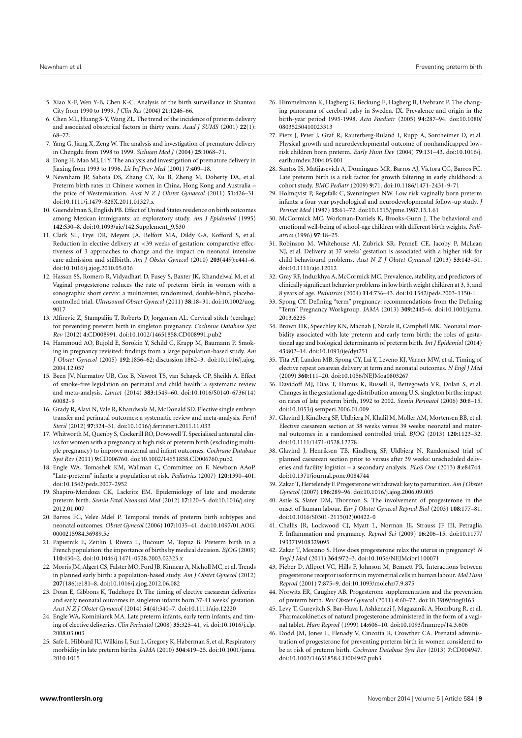- <span id="page-8-0"></span>5. Xiao X-F, Wen Y-B, Chen K-C. Analysis of the birth surveillance in Shantou City from 1990 to 1999. *J Clin Res* (2004) **21**:1246–66.
- 6. Chen ML, Huang S-Y, Wang ZL. The trend of the incidence of preterm delivery and associated obstetrical factors in thirty years. *Acad J SUMS* (2001) **22**(1): 68–72.
- 7. Yang G, Jiang X, Zeng W. The analysis and investigation of premature delivery in Chengdu from 1998 to 1999. *Sichuan Med J* (2004) **25**:1068–71.
- <span id="page-8-1"></span>8. Dong H, Mao MJ, Li Y. The analysis and investigation of premature delivery in Jiaxing from 1993 to 1996. *Lit Inf Prev Med* (2001) **7**:409–18.
- <span id="page-8-2"></span>9. Newnham JP, Sahota DS, Zhang CY, Xu B, Zheng M, Doherty DA, et al. Preterm birth rates in Chinese women in China, Hong Kong and Australia – the price of Westernisation. *Aust N Z J Obstet Gynaecol* (2011) **51**:426–31. doi[:10.1111/j.1479-828X.2011.01327.x](http://dx.doi.org/10.1111/j.1479-828X.2011.01327.x)
- <span id="page-8-3"></span>10. Guendelman S, English PB. Effect of United States residence on birth outcomes among Mexican immigrants: an exploratory study. *Am J Epidemiol* (1995) **142**:S30–8. doi[:10.1093/aje/142.Supplement\\_9.S30](http://dx.doi.org/10.1093/aje/142.Supplement_9.S30)
- <span id="page-8-19"></span>11. Clark SL, Frye DR, Meyers JA, Belfort MA, Dildy GA, Kofford S, et al. Reduction in elective delivery at <39 weeks of gestation: comparative effectiveness of 3 approaches to change and the impact on neonatal intensive care admission and stillbirth. *Am J Obstet Gynecol* (2010) **203**(449):e441–6. doi[:10.1016/j.ajog.2010.05.036](http://dx.doi.org/10.1016/j.ajog.2010.05.036)
- <span id="page-8-20"></span>12. Hassan SS, Romero R, Vidyadhari D, Fusey S, Baxter JK, Khandelwal M, et al. Vaginal progesterone reduces the rate of preterm birth in women with a sonographic short cervix: a multicenter, randomized, double-blind, placebocontrolled trial. *Ultrasound Obstet Gynecol* (2011) **38**:18–31. doi[:10.1002/uog.](http://dx.doi.org/10.1002/uog.9017) [9017](http://dx.doi.org/10.1002/uog.9017)
- <span id="page-8-21"></span>13. Alfirevic Z, Stampalija T, Roberts D, Jorgensen AL. Cervical stitch (cerclage) for preventing preterm birth in singleton pregnancy. *Cochrane Database Syst Rev* (2012) **4**:CD008991. doi[:10.1002/14651858.CD008991.pub2](http://dx.doi.org/10.1002/14651858.CD008991.pub2)
- <span id="page-8-22"></span>14. Hammoud AO, Bujold E, Sorokin Y, Schild C, Krapp M, Baumann P. Smoking in pregnancy revisited: findings from a large population-based study. *Am J Obstet Gynecol* (2005) **192**:1856–62; discussion 1862–3. doi[:10.1016/j.ajog.](http://dx.doi.org/10.1016/j.ajog.2004.12.057) [2004.12.057](http://dx.doi.org/10.1016/j.ajog.2004.12.057)
- <span id="page-8-23"></span>15. Been JV, Nurmatov UB, Cox B, Nawrot TS, van Schayck CP, Sheikh A. Effect of smoke-free legislation on perinatal and child health: a systematic review and meta-analysis. *Lancet* (2014) **383**:1549–60. doi[:10.1016/S0140-6736\(14\)](http://dx.doi.org/10.1016/S0140-6736(14)60082-9) [60082-9](http://dx.doi.org/10.1016/S0140-6736(14)60082-9)
- <span id="page-8-24"></span>16. Grady R, Alavi N, Vale R, Khandwala M, McDonald SD. Elective single embryo transfer and perinatal outcomes: a systematic review and meta-analysis. *Fertil Steril* (2012) **97**:324–31. doi[:10.1016/j.fertnstert.2011.11.033](http://dx.doi.org/10.1016/j.fertnstert.2011.11.033)
- <span id="page-8-25"></span>17. Whitworth M, Quenby S, Cockerill RO, Dowswell T. Specialised antenatal clinics for women with a pregnancy at high risk of preterm birth (excluding multiple pregnancy) to improve maternal and infant outcomes. *Cochrane Database Syst Rev* (2011) **9**:CD006760. doi[:10.1002/14651858.CD006760.pub2](http://dx.doi.org/10.1002/14651858.CD006760.pub2)
- <span id="page-8-4"></span>18. Engle WA, Tomashek KM, Wallman C, Committee on F, Newborn AAoP. "Late-preterm" infants: a population at risk. *Pediatrics* (2007) **120**:1390–401. doi[:10.1542/peds.2007-2952](http://dx.doi.org/10.1542/peds.2007-2952)
- <span id="page-8-5"></span>19. Shapiro-Mendoza CK, Lackritz EM. Epidemiology of late and moderate preterm birth. *Semin Fetal Neonatal Med* (2012) **17**:120–5. doi[:10.1016/j.siny.](http://dx.doi.org/10.1016/j.siny.2012.01.007) [2012.01.007](http://dx.doi.org/10.1016/j.siny.2012.01.007)
- <span id="page-8-6"></span>20. Barros FC, Velez Mdel P. Temporal trends of preterm birth subtypes and neonatal outcomes. *Obstet Gynecol* (2006) **107**:1035–41. doi[:10.1097/01.AOG.](http://dx.doi.org/10.1097/01.AOG.0000215984.36989.5e) [0000215984.36989.5e](http://dx.doi.org/10.1097/01.AOG.0000215984.36989.5e)
- <span id="page-8-7"></span>21. Papiernik E, Zeitlin J, Rivera L, Bucourt M, Topuz B. Preterm birth in a French population: the importance of births by medical decision. *BJOG* (2003) **110**:430–2. doi[:10.1046/j.1471-0528.2003.02323.x](http://dx.doi.org/10.1046/j.1471-0528.2003.02323.x)
- <span id="page-8-8"></span>22. Morris JM, Algert CS, Falster MO, Ford JB, Kinnear A, Nicholl MC, et al. Trends in planned early birth: a population-based study. *Am J Obstet Gynecol* (2012) **207**(186):e181–8. doi[:10.1016/j.ajog.2012.06.082](http://dx.doi.org/10.1016/j.ajog.2012.06.082)
- <span id="page-8-9"></span>23. Doan E, Gibbons K, Tudehope D. The timing of elective caesarean deliveries and early neonatal outcomes in singleton infants born 37-41 weeks' gestation. *Aust N Z J Obstet Gynaecol* (2014) **54**(4):340–7. doi[:10.1111/ajo.12220](http://dx.doi.org/10.1111/ajo.12220)
- <span id="page-8-10"></span>24. Engle WA, Kominiarek MA. Late preterm infants, early term infants, and timing of elective deliveries. *Clin Perinatol* (2008) **35**:325–41, vi. doi[:10.1016/j.clp.](http://dx.doi.org/10.1016/j.clp.2008.03.003) [2008.03.003](http://dx.doi.org/10.1016/j.clp.2008.03.003)
- <span id="page-8-11"></span>25. Safe L, Hibbard JU, Wilkins I, Sun L, Gregory K, Haberman S, et al. Respiratory morbidity in late preterm births. *JAMA* (2010) **304**:419–25. doi[:10.1001/jama.](http://dx.doi.org/10.1001/jama.2010.1015) [2010.1015](http://dx.doi.org/10.1001/jama.2010.1015)
- <span id="page-8-12"></span>26. Himmelmann K, Hagberg G, Beckung E, Hagberg B, Uvebrant P. The changing panorama of cerebral palsy in Sweden. IX. Prevalence and origin in the birth-year period 1995-1998. *Acta Paediatr* (2005) **94**:287–94. doi[:10.1080/](http://dx.doi.org/10.1080/08035250410023313) [08035250410023313](http://dx.doi.org/10.1080/08035250410023313)
- <span id="page-8-13"></span>27. Pietz J, Peter J, Graf R, Rauterberg-Ruland I, Rupp A, Sontheimer D, et al. Physical growth and neurodevelopmental outcome of nonhandicapped lowrisk children born preterm. *Early Hum Dev* (2004) **79**:131–43. doi[:10.1016/j.](http://dx.doi.org/10.1016/j.earlhumdev.2004.05.001) [earlhumdev.2004.05.001](http://dx.doi.org/10.1016/j.earlhumdev.2004.05.001)
- <span id="page-8-14"></span>28. Santos IS, Matijasevich A, Domingues MR, Barros AJ, Victora CG, Barros FC. Late preterm birth is a risk factor for growth faltering in early childhood: a cohort study. *BMC Pediatr* (2009) **9**:71. doi[:10.1186/1471-2431-9-71](http://dx.doi.org/10.1186/1471-2431-9-71)
- <span id="page-8-15"></span>29. Holmqvist P, Regefalk C, Svenningsen NW. Low risk vaginally born preterm infants: a four year psychological and neurodevelopmental follow-up study. *J Perinat Med* (1987) **15**:61–72. doi[:10.1515/jpme.1987.15.1.61](http://dx.doi.org/10.1515/jpme.1987.15.1.61)
- <span id="page-8-16"></span>30. McCormick MC, Workman-Daniels K, Brooks-Gunn J. The behavioral and emotional well-being of school-age children with different birth weights. *Pediatrics* (1996) **97**:18–25.
- <span id="page-8-17"></span>31. Robinson M, Whitehouse AJ, Zubrick SR, Pennell CE, Jacoby P, McLean NJ, et al. Delivery at 37 weeks' gestation is associated with a higher risk for child behavioural problems. *Aust N Z J Obstet Gynaecol* (2013) **53**:143–51. doi[:10.1111/ajo.12012](http://dx.doi.org/10.1111/ajo.12012)
- <span id="page-8-18"></span>32. Gray RF, Indurkhya A, McCormick MC. Prevalence, stability, and predictors of clinically significant behavior problems in low birth weight children at 3, 5, and 8 years of age. *Pediatrics* (2004) **114**:736–43. doi[:10.1542/peds.2003-1150-L](http://dx.doi.org/10.1542/peds.2003-1150-L)
- <span id="page-8-26"></span>33. Spong CY. Defining "term" pregnancy: recommendations from the Defining "Term" Pregnancy Workgroup. *JAMA* (2013) **309**:2445–6. doi[:10.1001/jama.](http://dx.doi.org/10.1001/jama.2013.6235) [2013.6235](http://dx.doi.org/10.1001/jama.2013.6235)
- <span id="page-8-27"></span>34. Brown HK, Speechley KN, Macnab J, Natale R, Campbell MK. Neonatal morbidity associated with late preterm and early term birth: the roles of gestational age and biological determinants of preterm birth. *Int J Epidemiol* (2014) **43**:802–14. doi[:10.1093/ije/dyt251](http://dx.doi.org/10.1093/ije/dyt251)
- <span id="page-8-28"></span>35. Tita AT, Landon MB, Spong CY, Lai Y, Leveno KJ, Varner MW, et al. Timing of elective repeat cesarean delivery at term and neonatal outcomes. *N Engl J Med* (2009) **360**:111–20. doi[:10.1056/NEJMoa0803267](http://dx.doi.org/10.1056/NEJMoa0803267)
- <span id="page-8-29"></span>36. Davidoff MJ, Dias T, Damus K, Russell R, Bettegowda VR, Dolan S, et al. Changes in the gestational age distribution among U.S. singleton births: impact on rates of late preterm birth, 1992 to 2002. *Semin Perinatol* (2006) **30**:8–15. doi[:10.1053/j.semperi.2006.01.009](http://dx.doi.org/10.1053/j.semperi.2006.01.009)
- <span id="page-8-30"></span>37. Glavind J, Kindberg SF, Uldbjerg N, Khalil M, Moller AM, Mortensen BB, et al. Elective caesarean section at 38 weeks versus 39 weeks: neonatal and maternal outcomes in a randomised controlled trial. *BJOG* (2013) **120**:1123–32. doi[:10.1111/1471-0528.12278](http://dx.doi.org/10.1111/1471-0528.12278)
- <span id="page-8-31"></span>38. Glavind J, Henriksen TB, Kindberg SF, Uldbjerg N. Randomised trial of planned caesarean section prior to versus after 39 weeks: unscheduled deliveries and facility logistics – a secondary analysis. *PLoS One* (2013) **8**:e84744. doi[:10.1371/journal.pone.0084744](http://dx.doi.org/10.1371/journal.pone.0084744)
- <span id="page-8-32"></span>39. Zakar T, Hertelendy F. Progesterone withdrawal: key to parturition.*Am J Obstet Gynecol* (2007) **196**:289–96. doi[:10.1016/j.ajog.2006.09.005](http://dx.doi.org/10.1016/j.ajog.2006.09.005)
- <span id="page-8-33"></span>40. Astle S, Slater DM, Thornton S. The involvement of progesterone in the onset of human labour. *Eur J Obstet Gynecol Reprod Biol* (2003) **108**:177–81. doi[:10.1016/S0301-2115\(02\)00422-0](http://dx.doi.org/10.1016/S0301-2115(02)00422-0)
- <span id="page-8-34"></span>41. Challis JR, Lockwood CJ, Myatt L, Norman JE, Strauss JF III, Petraglia F. Inflammation and pregnancy. *Reprod Sci* (2009) **16**:206–15. doi[:10.1177/](http://dx.doi.org/10.1177/1933719108329095) [1933719108329095](http://dx.doi.org/10.1177/1933719108329095)
- 42. Zakar T, Mesiano S. How does progesterone relax the uterus in pregnancy? *N Engl J Med* (2011) **364**:972–3. doi[:10.1056/NEJMcibr1100071](http://dx.doi.org/10.1056/NEJMcibr1100071)
- <span id="page-8-35"></span>43. Pieber D, Allport VC, Hills F, Johnson M, Bennett PR. Interactions between progesterone receptor isoforms in myometrial cells in human labour. *Mol Hum Reprod* (2001) **7**:875–9. doi[:10.1093/molehr/7.9.875](http://dx.doi.org/10.1093/molehr/7.9.875)
- <span id="page-8-36"></span>44. Norwitz ER, Caughey AB. Progesterone supplementation and the prevention of preterm birth. *Rev Obstet Gynecol* (2011) **4**:60–72. doi[:10.3909/riog0163](http://dx.doi.org/10.3909/riog0163)
- <span id="page-8-37"></span>45. Levy T, Gurevitch S, Bar-Hava I, Ashkenazi J, Magazanik A, Homburg R, et al. Pharmacokinetics of natural progesterone administered in the form of a vaginal tablet. *Hum Reprod* (1999) **14**:606–10. doi[:10.1093/humrep/14.3.606](http://dx.doi.org/10.1093/humrep/14.3.606)
- <span id="page-8-38"></span>46. Dodd JM, Jones L, Flenady V, Cincotta R, Crowther CA. Prenatal administration of progesterone for preventing preterm birth in women considered to be at risk of preterm birth. *Cochrane Database Syst Rev* (2013) **7**:CD004947. doi[:10.1002/14651858.CD004947.pub3](http://dx.doi.org/10.1002/14651858.CD004947.pub3)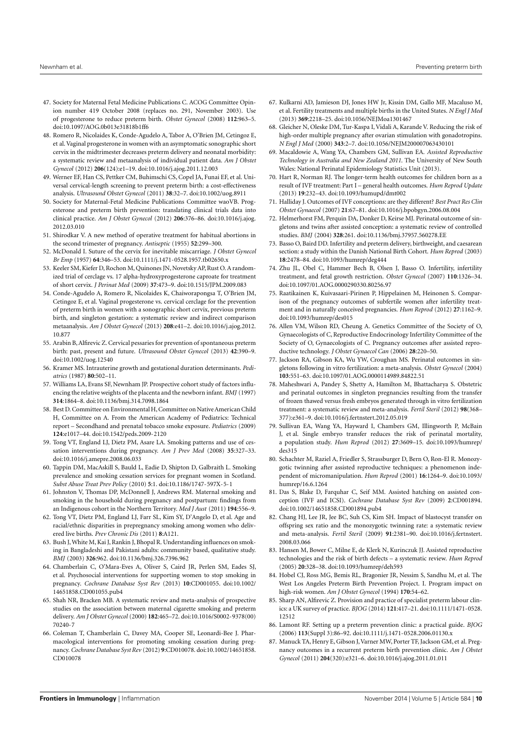- <span id="page-9-0"></span>47. Society for Maternal Fetal Medicine Publications C. ACOG Committee Opinion number 419 October 2008 (replaces no. 291, November 2003). Use of progesterone to reduce preterm birth. *Obstet Gynecol* (2008) **112**:963–5. doi[:10.1097/AOG.0b013e31818b1ff6](http://dx.doi.org/10.1097/AOG.0b013e31818b1ff6)
- <span id="page-9-1"></span>48. Romero R, Nicolaides K, Conde-Agudelo A, Tabor A, O'Brien JM, Cetingoz E, et al. Vaginal progesterone in women with an asymptomatic sonographic short cervix in the midtrimester decreases preterm delivery and neonatal morbidity: a systematic review and metaanalysis of individual patient data. *Am J Obstet Gynecol* (2012) **206**(124):e1–19. doi[:10.1016/j.ajog.2011.12.003](http://dx.doi.org/10.1016/j.ajog.2011.12.003)
- <span id="page-9-2"></span>49. Werner EF, Han CS, Pettker CM, Buhimschi CS, Copel JA, Funai EF, et al. Universal cervical-length screening to prevent preterm birth: a cost-effectiveness analysis. *Ultrasound Obstet Gynecol* (2011) **38**:32–7. doi[:10.1002/uog.8911](http://dx.doi.org/10.1002/uog.8911)
- <span id="page-9-3"></span>50. Society for Maternal-Fetal Medicine Publications Committee waoVB. Progesterone and preterm birth prevention: translating clinical trials data into clinical practice. *Am J Obstet Gynecol* (2012) **206**:376–86. doi[:10.1016/j.ajog.](http://dx.doi.org/10.1016/j.ajog.2012.03.010) [2012.03.010](http://dx.doi.org/10.1016/j.ajog.2012.03.010)
- <span id="page-9-4"></span>51. Shirodkar V. A new method of operative treatment for habitual abortions in the second trimester of pregnancy. *Antiseptic* (1955) **52**:299–300.
- <span id="page-9-5"></span>52. McDonald I. Suture of the cervix for inevitable miscarriage. *J Obstet Gynecol Br Emp* (1957) **64**:346–53. doi[:10.1111/j.1471-0528.1957.tb02650.x](http://dx.doi.org/10.1111/j.1471-0528.1957.tb02650.x)
- <span id="page-9-6"></span>53. Keeler SM, Kiefer D, Rochon M, Quinones JN, Novetsky AP, Rust O. A randomized trial of cerclage vs. 17 alpha-hydroxyprogesterone caproate for treatment of short cervix. *J Perinat Med* (2009) **37**:473–9. doi[:10.1515/JPM.2009.083](http://dx.doi.org/10.1515/JPM.2009.083)
- <span id="page-9-7"></span>54. Conde-Agudelo A, Romero R, Nicolaides K, Chaiworapongsa T, O'Brien JM, Cetingoz E, et al. Vaginal progesterone vs. cervical cerclage for the prevention of preterm birth in women with a sonographic short cervix, previous preterm birth, and singleton gestation: a systematic review and indirect comparison metaanalysis. *Am J Obstet Gynecol* (2013) **208**:e41–2. doi[:10.1016/j.ajog.2012.](http://dx.doi.org/10.1016/j.ajog.2012.10.877) [10.877](http://dx.doi.org/10.1016/j.ajog.2012.10.877)
- <span id="page-9-8"></span>55. Arabin B, Alfirevic Z. Cervical pessaries for prevention of spontaneous preterm birth: past, present and future. *Ultrasound Obstet Gynecol* (2013) **42**:390–9. doi[:10.1002/uog.12540](http://dx.doi.org/10.1002/uog.12540)
- <span id="page-9-9"></span>56. Kramer MS. Intrauterine growth and gestational duration determinants. *Pediatrics* (1987) **80**:502–11.
- <span id="page-9-10"></span>57. Williams LA, Evans SF, Newnham JP. Prospective cohort study of factors influencing the relative weights of the placenta and the newborn infant. *BMJ* (1997) **314**:1864–8. doi[:10.1136/bmj.314.7098.1864](http://dx.doi.org/10.1136/bmj.314.7098.1864)
- <span id="page-9-11"></span>58. Best D. Committee on Environmental H, Committee on Native American Child H, Committee on A. From the American Academy of Pediatrics: Technical report – Secondhand and prenatal tobacco smoke exposure. *Pediatrics* (2009) **124**:e1017–44. doi[:10.1542/peds.2009-2120](http://dx.doi.org/10.1542/peds.2009-2120)
- <span id="page-9-12"></span>59. Tong VT, England LJ, Dietz PM, Asare LA. Smoking patterns and use of cessation interventions during pregnancy. *Am J Prev Med* (2008) **35**:327–33. doi[:10.1016/j.amepre.2008.06.033](http://dx.doi.org/10.1016/j.amepre.2008.06.033)
- <span id="page-9-13"></span>60. Tappin DM, MacAskill S, Bauld L, Eadie D, Shipton D, Galbraith L. Smoking prevalence and smoking cessation services for pregnant women in Scotland. *Subst Abuse Treat Prev Policy* (2010) **5**:1. doi[:10.1186/1747-597X-5-1](http://dx.doi.org/10.1186/1747-597X-5-1)
- <span id="page-9-14"></span>61. Johnston V, Thomas DP, McDonnell J, Andrews RM. Maternal smoking and smoking in the household during pregnancy and postpartum: findings from an Indigenous cohort in the Northern Territory. *Med J Aust* (2011) **194**:556–9.
- <span id="page-9-15"></span>62. Tong VT, Dietz PM, England LJ, Farr SL, Kim SY, D'Angelo D, et al. Age and racial/ethnic disparities in prepregnancy smoking among women who delivered live births. *Prev Chronic Dis* (2011) **8**:A121.
- 63. Bush J, White M, Kai J, Rankin J, Bhopal R. Understanding influences on smoking in Bangladeshi and Pakistani adults: community based, qualitative study. *BMJ* (2003) **326**:962. doi[:10.1136/bmj.326.7396.962](http://dx.doi.org/10.1136/bmj.326.7396.962)
- <span id="page-9-16"></span>64. Chamberlain C, O'Mara-Eves A, Oliver S, Caird JR, Perlen SM, Eades SJ, et al. Psychosocial interventions for supporting women to stop smoking in pregnancy. *Cochrane Database Syst Rev* (2013) **10**:CD001055. doi[:10.1002/](http://dx.doi.org/10.1002/14651858.CD001055.pub4) [14651858.CD001055.pub4](http://dx.doi.org/10.1002/14651858.CD001055.pub4)
- <span id="page-9-17"></span>65. Shah NR, Bracken MB. A systematic review and meta-analysis of prospective studies on the association between maternal cigarette smoking and preterm delivery. *Am J Obstet Gynecol* (2000) **182**:465–72. doi[:10.1016/S0002-9378\(00\)](http://dx.doi.org/10.1016/S0002-9378(00)70240-7) [70240-7](http://dx.doi.org/10.1016/S0002-9378(00)70240-7)
- <span id="page-9-18"></span>66. Coleman T, Chamberlain C, Davey MA, Cooper SE, Leonardi-Bee J. Pharmacological interventions for promoting smoking cessation during pregnancy. *Cochrane Database Syst Rev* (2012) **9**:CD010078. doi[:10.1002/14651858.](http://dx.doi.org/10.1002/14651858.CD010078) [CD010078](http://dx.doi.org/10.1002/14651858.CD010078)
- <span id="page-9-19"></span>67. Kulkarni AD, Jamieson DJ, Jones HW Jr, Kissin DM, Gallo MF, Macaluso M, et al. Fertility treatments and multiple births in the United States. *N Engl J Med* (2013) **369**:2218–25. doi[:10.1056/NEJMoa1301467](http://dx.doi.org/10.1056/NEJMoa1301467)
- <span id="page-9-20"></span>68. Gleicher N, Oleske DM, Tur-Kaspa I, Vidali A, Karande V. Reducing the risk of high-order multiple pregnancy after ovarian stimulation with gonadotropins. *N Engl J Med* (2000) **343**:2–7. doi[:10.1056/NEJM200007063430101](http://dx.doi.org/10.1056/NEJM200007063430101)
- <span id="page-9-21"></span>69. Macaldowie A, Wang YA, Chambers GM, Sullivan EA. *Assisted Reproductive Technology in Australia and New Zealand 2011*. The University of New South Wales: National Perinatal Epidemiology Statistics Unit (2013).
- <span id="page-9-22"></span>70. Hart R, Norman RJ. The longer-term health outcomes for children born as a result of IVF treatment: Part I – general health outcomes. *Hum Reprod Update* (2013) **19**:232–43. doi[:10.1093/humupd/dmt002](http://dx.doi.org/10.1093/humupd/dmt002)
- <span id="page-9-23"></span>71. Halliday J. Outcomes of IVF conceptions: are they different? *Best Pract Res Clin Obstet Gynaecol* (2007) **21**:67–81. doi[:10.1016/j.bpobgyn.2006.08.004](http://dx.doi.org/10.1016/j.bpobgyn.2006.08.004)
- <span id="page-9-24"></span>72. Helmerhorst FM, Perquin DA, Donker D, Keirse MJ. Perinatal outcome of singletons and twins after assisted conception: a systematic review of controlled studies. *BMJ* (2004) **328**:261. doi[:10.1136/bmj.37957.560278.EE](http://dx.doi.org/10.1136/bmj.37957.560278.EE)
- <span id="page-9-25"></span>73. Basso O, Baird DD. Infertility and preterm delivery, birthweight, and caesarean section: a study within the Danish National Birth Cohort. *Hum Reprod* (2003) **18**:2478–84. doi[:10.1093/humrep/deg444](http://dx.doi.org/10.1093/humrep/deg444)
- <span id="page-9-27"></span>74. Zhu JL, Obel C, Hammer Bech B, Olsen J, Basso O. Infertility, infertility treatment, and fetal growth restriction. *Obstet Gynecol* (2007) **110**:1326–34. doi[:10.1097/01.AOG.0000290330.80256.97](http://dx.doi.org/10.1097/01.AOG.0000290330.80256.97)
- <span id="page-9-26"></span>75. Raatikainen K, Kuivasaari-Pirinen P, Hippelainen M, Heinonen S. Comparison of the pregnancy outcomes of subfertile women after infertility treatment and in naturally conceived pregnancies. *Hum Reprod* (2012) **27**:1162–9. doi[:10.1093/humrep/des015](http://dx.doi.org/10.1093/humrep/des015)
- <span id="page-9-28"></span>76. Allen VM, Wilson RD, Cheung A. Genetics Committee of the Society of O, Gynaecologists of C, Reproductive Endocrinology Infertility Committee of the Society of O, Gynaecologists of C. Pregnancy outcomes after assisted reproductive technology. *J Obstet Gynaecol Can* (2006) **28**:220–50.
- <span id="page-9-29"></span>77. Jackson RA, Gibson KA, Wu YW, Croughan MS. Perinatal outcomes in singletons following in vitro fertilization: a meta-analysis. *Obstet Gynecol* (2004) **103**:551–63. doi[:10.1097/01.AOG.0000114989.84822.51](http://dx.doi.org/10.1097/01.AOG.0000114989.84822.51)
- <span id="page-9-30"></span>78. Maheshwari A, Pandey S, Shetty A, Hamilton M, Bhattacharya S. Obstetric and perinatal outcomes in singleton pregnancies resulting from the transfer of frozen thawed versus fresh embryos generated through in vitro fertilization treatment: a systematic review and meta-analysis. *Fertil Steril* (2012) **98**(368– 377):e361–9. doi[:10.1016/j.fertnstert.2012.05.019](http://dx.doi.org/10.1016/j.fertnstert.2012.05.019)
- <span id="page-9-31"></span>79. Sullivan EA, Wang YA, Hayward I, Chambers GM, Illingworth P, McBain J, et al. Single embryo transfer reduces the risk of perinatal mortality, a population study. *Hum Reprod* (2012) **27**:3609–15. doi[:10.1093/humrep/](http://dx.doi.org/10.1093/humrep/des315) [des315](http://dx.doi.org/10.1093/humrep/des315)
- <span id="page-9-32"></span>80. Schachter M, Raziel A, Friedler S, Strassburger D, Bern O, Ron-El R. Monozygotic twinning after assisted reproductive techniques: a phenomenon independent of micromanipulation. *Hum Reprod* (2001) **16**:1264–9. doi[:10.1093/](http://dx.doi.org/10.1093/humrep/16.6.1264) [humrep/16.6.1264](http://dx.doi.org/10.1093/humrep/16.6.1264)
- <span id="page-9-33"></span>81. Das S, Blake D, Farquhar C, Seif MM. Assisted hatching on assisted conception (IVF and ICSI). *Cochrane Database Syst Rev* (2009) **2**:CD001894. doi[:10.1002/14651858.CD001894.pub4](http://dx.doi.org/10.1002/14651858.CD001894.pub4)
- <span id="page-9-34"></span>82. Chang HJ, Lee JR, Jee BC, Suh CS, Kim SH. Impact of blastocyst transfer on offspring sex ratio and the monozygotic twinning rate: a systematic review and meta-analysis. *Fertil Steril* (2009) **91**:2381–90. doi[:10.1016/j.fertnstert.](http://dx.doi.org/10.1016/j.fertnstert.2008.03.066) [2008.03.066](http://dx.doi.org/10.1016/j.fertnstert.2008.03.066)
- <span id="page-9-35"></span>83. Hansen M, Bower C, Milne E, de Klerk N, Kurinczuk JJ. Assisted reproductive technologies and the risk of birth defects – a systematic review. *Hum Reprod* (2005) **20**:328–38. doi[:10.1093/humrep/deh593](http://dx.doi.org/10.1093/humrep/deh593)
- <span id="page-9-36"></span>84. Hobel CJ, Ross MG, Bemis RL, Bragonier JR, Nessim S, Sandhu M, et al. The West Los Angeles Preterm Birth Prevention Project. I. Program impact on high-risk women. *Am J Obstet Gynecol* (1994) **170**:54–62.
- <span id="page-9-37"></span>85. Sharp AN, Alfirevic Z. Provision and practice of specialist preterm labour clinics: a UK survey of practice. *BJOG* (2014) **121**:417–21. doi[:10.1111/1471-0528.](http://dx.doi.org/10.1111/1471-0528.12512) [12512](http://dx.doi.org/10.1111/1471-0528.12512)
- <span id="page-9-38"></span>86. Lamont RF. Setting up a preterm prevention clinic: a practical guide. *BJOG* (2006) **113**(Suppl 3):86–92. doi[:10.1111/j.1471-0528.2006.01130.x](http://dx.doi.org/10.1111/j.1471-0528.2006.01130.x)
- <span id="page-9-39"></span>87. Manuck TA, Henry E, Gibson J, Varner MW, Porter TF, Jackson GM, et al. Pregnancy outcomes in a recurrent preterm birth prevention clinic. *Am J Obstet Gynecol* (2011) **204**(320):e321–6. doi[:10.1016/j.ajog.2011.01.011](http://dx.doi.org/10.1016/j.ajog.2011.01.011)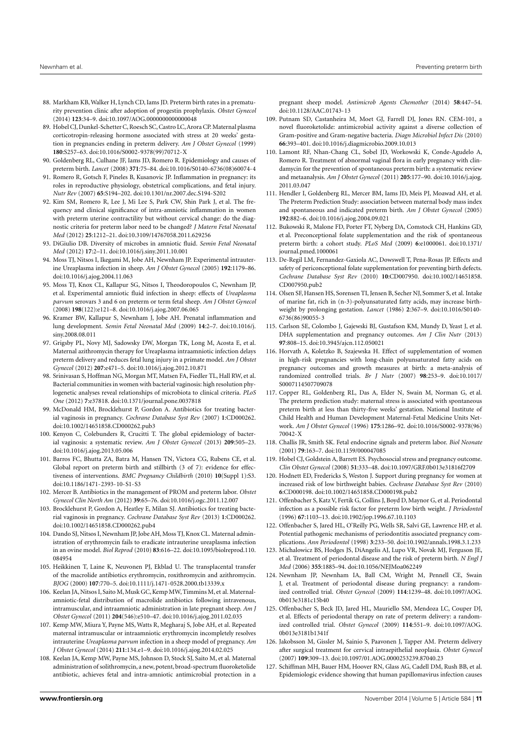- <span id="page-10-0"></span>88. Markham KB, Walker H, Lynch CD, Iams JD. Preterm birth rates in a prematurity prevention clinic after adoption of progestin prophylaxis. *Obstet Gynecol* (2014) **123**:34–9. doi[:10.1097/AOG.0000000000000048](http://dx.doi.org/10.1097/AOG.0000000000000048)
- <span id="page-10-1"></span>89. Hobel CJ, Dunkel-Schetter C, Roesch SC, Castro LC,Arora CP. Maternal plasma corticotropin-releasing hormone associated with stress at 20 weeks' gestation in pregnancies ending in preterm delivery. *Am J Obstet Gynecol* (1999) **180**:S257–63. doi[:10.1016/S0002-9378\(99\)70712-X](http://dx.doi.org/10.1016/S0002-9378(99)70712-X)
- <span id="page-10-2"></span>90. Goldenberg RL, Culhane JF, Iams JD, Romero R. Epidemiology and causes of preterm birth. *Lancet* (2008) **371**:75–84. doi[:10.1016/S0140-6736\(08\)60074-4](http://dx.doi.org/10.1016/S0140-6736(08)60074-4)
- <span id="page-10-3"></span>91. Romero R, Gotsch F, Pineles B, Kusanovic JP. Inflammation in pregnancy: its roles in reproductive physiology, obstetrical complications, and fetal injury. *Nutr Rev* (2007) **65**:S194–202. doi[:10.1301/nr.2007.dec.S194-S202](http://dx.doi.org/10.1301/nr.2007.dec.S194-S202)
- <span id="page-10-4"></span>92. Kim SM, Romero R, Lee J, Mi Lee S, Park CW, Shin Park J, et al. The frequency and clinical significance of intra-amniotic inflammation in women with preterm uterine contractility but without cervical change: do the diagnostic criteria for preterm labor need to be changed? *J Matern Fetal Neonatal Med* (2012) **25**:1212–21. doi[:10.3109/14767058.2011.629256](http://dx.doi.org/10.3109/14767058.2011.629256)
- <span id="page-10-5"></span>93. DiGiulio DB. Diversity of microbes in amniotic fluid. *Semin Fetal Neonatal Med* (2012) **17**:2–11. doi[:10.1016/j.siny.2011.10.001](http://dx.doi.org/10.1016/j.siny.2011.10.001)
- <span id="page-10-6"></span>94. Moss TJ, Nitsos I, Ikegami M, Jobe AH, Newnham JP. Experimental intrauterine Ureaplasma infection in sheep. *Am J Obstet Gynecol* (2005) **192**:1179–86. doi[:10.1016/j.ajog.2004.11.063](http://dx.doi.org/10.1016/j.ajog.2004.11.063)
- 95. Moss TJ, Knox CL, Kallapur SG, Nitsos I, Theodoropoulos C, Newnham JP, et al. Experimental amniotic fluid infection in sheep: effects of *Ureaplasma parvum* serovars 3 and 6 on preterm or term fetal sheep. *Am J Obstet Gynecol* (2008) **198**(122):e121–8. doi[:10.1016/j.ajog.2007.06.065](http://dx.doi.org/10.1016/j.ajog.2007.06.065)
- <span id="page-10-7"></span>96. Kramer BW, Kallapur S, Newnham J, Jobe AH. Prenatal inflammation and lung development. *Semin Fetal Neonatal Med* (2009) **14**:2–7. doi[:10.1016/j.](http://dx.doi.org/10.1016/j.siny.2008.08.011) [siny.2008.08.011](http://dx.doi.org/10.1016/j.siny.2008.08.011)
- <span id="page-10-8"></span>97. Grigsby PL, Novy MJ, Sadowsky DW, Morgan TK, Long M, Acosta E, et al. Maternal azithromycin therapy for Ureaplasma intraamniotic infection delays preterm delivery and reduces fetal lung injury in a primate model. *Am J Obstet Gynecol* (2012) **207**:e471–5. doi[:10.1016/j.ajog.2012.10.871](http://dx.doi.org/10.1016/j.ajog.2012.10.871)
- <span id="page-10-9"></span>98. Srinivasan S, Hoffman NG, Morgan MT, Matsen FA, Fiedler TL, Hall RW, et al. Bacterial communities in women with bacterial vaginosis: high resolution phylogenetic analyses reveal relationships of microbiota to clinical criteria. *PLoS One* (2012) **7**:e37818. doi[:10.1371/journal.pone.0037818](http://dx.doi.org/10.1371/journal.pone.0037818)
- <span id="page-10-10"></span>99. McDonald HM, Brocklehurst P, Gordon A. Antibiotics for treating bacterial vaginosis in pregnancy. *Cochrane Database Syst Rev* (2007) **1**:CD000262. doi[:10.1002/14651858.CD000262.pub3](http://dx.doi.org/10.1002/14651858.CD000262.pub3)
- <span id="page-10-11"></span>100. Kenyon C, Colebunders R, Crucitti T. The global epidemiology of bacterial vaginosis: a systematic review. *Am J Obstet Gynecol* (2013) **209**:505–23. doi[:10.1016/j.ajog.2013.05.006](http://dx.doi.org/10.1016/j.ajog.2013.05.006)
- <span id="page-10-12"></span>101. Barros FC, Bhutta ZA, Batra M, Hansen TN, Victora CG, Rubens CE, et al. Global report on preterm birth and stillbirth (3 of 7): evidence for effectiveness of interventions. *BMC Pregnancy Childbirth* (2010) **10**(Suppl 1):S3. doi[:10.1186/1471-2393-10-S1-S3](http://dx.doi.org/10.1186/1471-2393-10-S1-S3)
- 102. Mercer B. Antibiotics in the management of PROM and preterm labor. *Obstet Gynecol Clin North Am* (2012) **39**:65–76. doi[:10.1016/j.ogc.2011.12.007](http://dx.doi.org/10.1016/j.ogc.2011.12.007)
- <span id="page-10-13"></span>103. Brocklehurst P, Gordon A, Heatley E, Milan SJ. Antibiotics for treating bacterial vaginosis in pregnancy. *Cochrane Database Syst Rev* (2013) **1**:CD000262. doi[:10.1002/14651858.CD000262.pub4](http://dx.doi.org/10.1002/14651858.CD000262.pub4)
- <span id="page-10-14"></span>104. Dando SJ, Nitsos I, Newnham JP, Jobe AH, Moss TJ, Knox CL. Maternal administration of erythromycin fails to eradicate intrauterine ureaplasma infection in an ovine model. *Biol Reprod* (2010) **83**:616–22. doi[:10.1095/biolreprod.110.](http://dx.doi.org/10.1095/biolreprod.110.084954) [084954](http://dx.doi.org/10.1095/biolreprod.110.084954)
- 105. Heikkinen T, Laine K, Neuvonen PJ, Ekblad U. The transplacental transfer of the macrolide antibiotics erythromycin, roxithromycin and azithromycin. *BJOG* (2000) **107**:770–5. doi[:10.1111/j.1471-0528.2000.tb13339.x](http://dx.doi.org/10.1111/j.1471-0528.2000.tb13339.x)
- 106. Keelan JA, Nitsos I, Saito M, Musk GC, Kemp MW, Timmins M, et al. Maternalamniotic-fetal distribution of macrolide antibiotics following intravenous, intramuscular, and intraamniotic administration in late pregnant sheep. *Am J Obstet Gynecol* (2011) **204**(546):e510–47. doi[:10.1016/j.ajog.2011.02.035](http://dx.doi.org/10.1016/j.ajog.2011.02.035)
- <span id="page-10-15"></span>107. Kemp MW, Miura Y, Payne MS, Watts R, Megharaj S, Jobe AH, et al. Repeated maternal intramuscular or intraamniotic erythromycin incompletely resolves intrauterine *Ureaplasma parvum* infection in a sheep model of pregnancy. *Am J Obstet Gynecol* (2014) **211**:134.e1–9. doi[:10.1016/j.ajog.2014.02.025](http://dx.doi.org/10.1016/j.ajog.2014.02.025)
- <span id="page-10-16"></span>108. Keelan JA, Kemp MW, Payne MS, Johnson D, Stock SJ, Saito M, et al. Maternal administration of solithromycin, a new, potent, broad-spectrum fluoroketolide antibiotic, achieves fetal and intra-amniotic antimicrobial protection in a

pregnant sheep model. *Antimicrob Agents Chemother* (2014) **58**:447–54. doi[:10.1128/AAC.01743-13](http://dx.doi.org/10.1128/AAC.01743-13)

- <span id="page-10-17"></span>109. Putnam SD, Castanheira M, Moet GJ, Farrell DJ, Jones RN. CEM-101, a novel fluoroketolide: antimicrobial activity against a diverse collection of Gram-positive and Gram-negative bacteria. *Diagn Microbiol Infect Dis* (2010) **66**:393–401. doi[:10.1016/j.diagmicrobio.2009.10.013](http://dx.doi.org/10.1016/j.diagmicrobio.2009.10.013)
- <span id="page-10-18"></span>110. Lamont RF, Nhan-Chang CL, Sobel JD, Workowski K, Conde-Agudelo A, Romero R. Treatment of abnormal vaginal flora in early pregnancy with clindamycin for the prevention of spontaneous preterm birth: a systematic review and metaanalysis. *Am J Obstet Gynecol* (2011) **205**:177–90. doi[:10.1016/j.ajog.](http://dx.doi.org/10.1016/j.ajog.2011.03.047) [2011.03.047](http://dx.doi.org/10.1016/j.ajog.2011.03.047)
- <span id="page-10-19"></span>111. Hendler I, Goldenberg RL, Mercer BM, Iams JD, Meis PJ, Moawad AH, et al. The Preterm Prediction Study: association between maternal body mass index and spontaneous and indicated preterm birth. *Am J Obstet Gynecol* (2005) **192**:882–6. doi[:10.1016/j.ajog.2004.09.021](http://dx.doi.org/10.1016/j.ajog.2004.09.021)
- <span id="page-10-20"></span>112. Bukowski R, Malone FD, Porter FT, Nyberg DA, Comstock CH, Hankins GD, et al. Preconceptional folate supplementation and the risk of spontaneous preterm birth: a cohort study. *PLoS Med* (2009) **6**:e1000061. doi[:10.1371/](http://dx.doi.org/10.1371/journal.pmed.1000061) [journal.pmed.1000061](http://dx.doi.org/10.1371/journal.pmed.1000061)
- <span id="page-10-21"></span>113. De-Regil LM, Fernandez-Gaxiola AC, Dowswell T, Pena-Rosas JP. Effects and safety of periconceptional folate supplementation for preventing birth defects. *Cochrane Database Syst Rev* (2010) **10**:CD007950. doi[:10.1002/14651858.](http://dx.doi.org/10.1002/14651858.CD007950.pub2) [CD007950.pub2](http://dx.doi.org/10.1002/14651858.CD007950.pub2)
- <span id="page-10-22"></span>114. Olsen SF, Hansen HS, Sorensen TI, Jensen B, Secher NJ, Sommer S, et al. Intake of marine fat, rich in (n-3)-polyunsaturated fatty acids, may increase birthweight by prolonging gestation. *Lancet* (1986) **2**:367–9. doi[:10.1016/S0140-](http://dx.doi.org/10.1016/S0140-6736(86)90055-3) [6736\(86\)90055-3](http://dx.doi.org/10.1016/S0140-6736(86)90055-3)
- <span id="page-10-23"></span>115. Carlson SE, Colombo J, Gajewski BJ, Gustafson KM, Mundy D, Yeast J, et al. DHA supplementation and pregnancy outcomes. *Am J Clin Nutr* (2013) **97**:808–15. doi[:10.3945/ajcn.112.050021](http://dx.doi.org/10.3945/ajcn.112.050021)
- <span id="page-10-24"></span>116. Horvath A, Koletzko B, Szajewska H. Effect of supplementation of women in high-risk pregnancies with long-chain polyunsaturated fatty acids on pregnancy outcomes and growth measures at birth: a meta-analysis of randomized controlled trials. *Br J Nutr* (2007) **98**:253–9. doi[:10.1017/](http://dx.doi.org/10.1017/S0007114507709078) [S0007114507709078](http://dx.doi.org/10.1017/S0007114507709078)
- <span id="page-10-25"></span>117. Copper RL, Goldenberg RL, Das A, Elder N, Swain M, Norman G, et al. The preterm prediction study: maternal stress is associated with spontaneous preterm birth at less than thirty-five weeks' gestation. National Institute of Child Health and Human Development Maternal-Fetal Medicine Units Network. *Am J Obstet Gynecol* (1996) **175**:1286–92. doi[:10.1016/S0002-9378\(96\)](http://dx.doi.org/10.1016/S0002-9378(96)70042-X) [70042-X](http://dx.doi.org/10.1016/S0002-9378(96)70042-X)
- 118. Challis JR, Smith SK. Fetal endocrine signals and preterm labor. *Biol Neonate* (2001) **79**:163–7. doi[:10.1159/000047085](http://dx.doi.org/10.1159/000047085)
- <span id="page-10-26"></span>119. Hobel CJ, Goldstein A, Barrett ES. Psychosocial stress and pregnancy outcome. *Clin Obstet Gynecol* (2008) **51**:333–48. doi[:10.1097/GRF.0b013e31816f2709](http://dx.doi.org/10.1097/GRF.0b013e31816f2709)
- <span id="page-10-27"></span>120. Hodnett ED, Fredericks S, Weston J. Support during pregnancy for women at increased risk of low birthweight babies. *Cochrane Database Syst Rev* (2010) **6**:CD000198. doi[:10.1002/14651858.CD000198.pub2](http://dx.doi.org/10.1002/14651858.CD000198.pub2)
- <span id="page-10-28"></span>121. Offenbacher S, Katz V, Fertik G, Collins J, Boyd D, Maynor G, et al. Periodontal infection as a possible risk factor for preterm low birth weight. *J Periodontol* (1996) **67**:1103–13. doi[:10.1902/jop.1996.67.10.1103](http://dx.doi.org/10.1902/jop.1996.67.10.1103)
- <span id="page-10-29"></span>122. Offenbacher S, Jared HL, O'Reilly PG, Wells SR, Salvi GE, Lawrence HP, et al. Potential pathogenic mechanisms of periodontitis associated pregnancy complications. *Ann Periodontol* (1998) **3**:233–50. doi[:10.1902/annals.1998.3.1.233](http://dx.doi.org/10.1902/annals.1998.3.1.233)
- <span id="page-10-30"></span>123. Michalowicz BS, Hodges JS, DiAngelis AJ, Lupo VR, Novak MJ, Ferguson JE, et al. Treatment of periodontal disease and the risk of preterm birth. *N Engl J Med* (2006) **355**:1885–94. doi[:10.1056/NEJMoa062249](http://dx.doi.org/10.1056/NEJMoa062249)
- 124. Newnham JP, Newnham IA, Ball CM, Wright M, Pennell CE, Swain J, et al. Treatment of periodontal disease during pregnancy: a randomized controlled trial. *Obstet Gynecol* (2009) **114**:1239–48. doi[:10.1097/AOG.](http://dx.doi.org/10.1097/AOG.0b013e3181c15b40) [0b013e3181c15b40](http://dx.doi.org/10.1097/AOG.0b013e3181c15b40)
- <span id="page-10-31"></span>125. Offenbacher S, Beck JD, Jared HL, Mauriello SM, Mendoza LC, Couper DJ, et al. Effects of periodontal therapy on rate of preterm delivery: a randomized controlled trial. *Obstet Gynecol* (2009) **114**:551–9. doi[:10.1097/AOG.](http://dx.doi.org/10.1097/AOG.0b013e3181b1341f) [0b013e3181b1341f](http://dx.doi.org/10.1097/AOG.0b013e3181b1341f)
- <span id="page-10-32"></span>126. Jakobsson M, Gissler M, Sainio S, Paavonen J, Tapper AM. Preterm delivery after surgical treatment for cervical intraepithelial neoplasia. *Obstet Gynecol* (2007) **109**:309–13. doi[:10.1097/01.AOG.0000253239.87040.23](http://dx.doi.org/10.1097/01.AOG.0000253239.87040.23)
- <span id="page-10-33"></span>127. Schiffman MH, Bauer HM, Hoover RN, Glass AG, Cadell DM, Rush BB, et al. Epidemiologic evidence showing that human papillomavirus infection causes